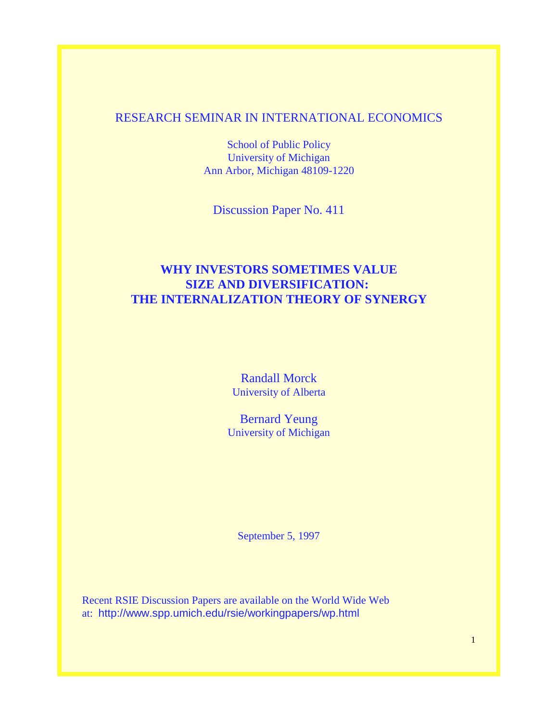## RESEARCH SEMINAR IN INTERNATIONAL ECONOMICS

School of Public Policy University of Michigan Ann Arbor, Michigan 48109-1220

Discussion Paper No. 411

# **WHY INVESTORS SOMETIMES VALUE SIZE AND DIVERSIFICATION: THE INTERNALIZATION THEORY OF SYNERGY**

Randall Morck University of Alberta

Bernard Yeung University of Michigan

September 5, 1997

Recent RSIE Discussion Papers are available on the World Wide Web at: http://www.spp.umich.edu/rsie/workingpapers/wp.html

1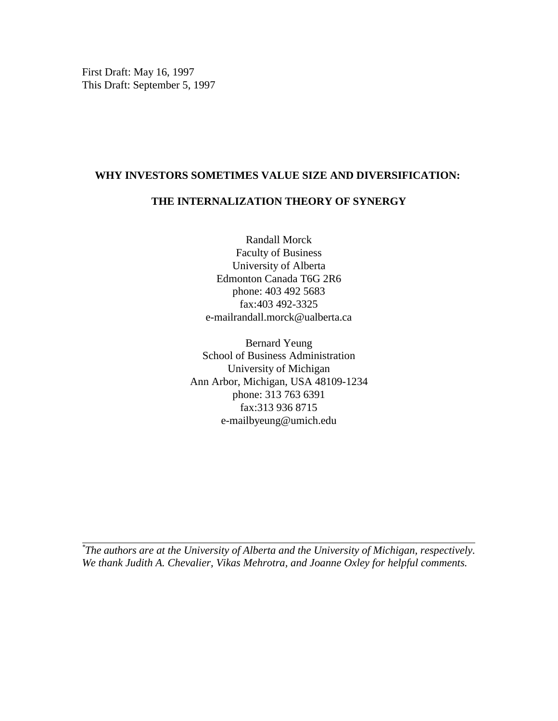First Draft: May 16, 1997 This Draft: September 5, 1997

## **WHY INVESTORS SOMETIMES VALUE SIZE AND DIVERSIFICATION:**

## **THE INTERNALIZATION THEORY OF SYNERGY**

Randall Morck Faculty of Business University of Alberta Edmonton Canada T6G 2R6 phone: 403 492 5683 fax:403 492-3325 e-mailrandall.morck@ualberta.ca

Bernard Yeung School of Business Administration University of Michigan Ann Arbor, Michigan, USA 48109-1234 phone: 313 763 6391 fax:313 936 8715 e-mailbyeung@umich.edu

*The authors are at the University of Alberta and the University of Michigan, respectively. \* We thank Judith A. Chevalier, Vikas Mehrotra, and Joanne Oxley for helpful comments.*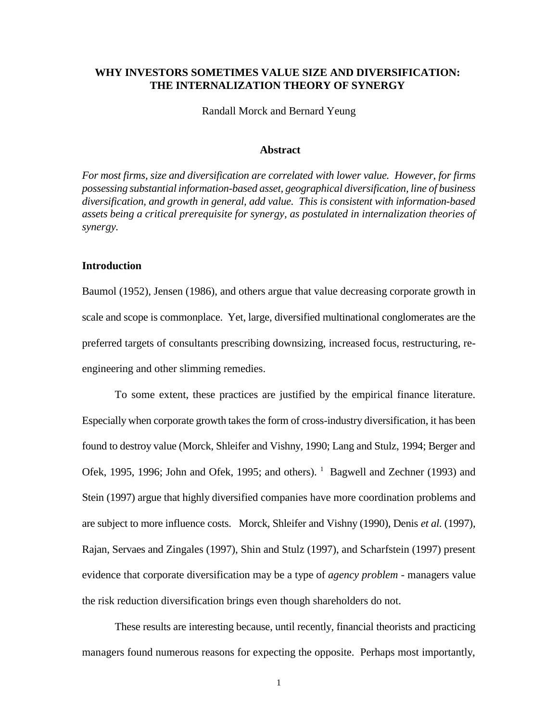## **WHY INVESTORS SOMETIMES VALUE SIZE AND DIVERSIFICATION: THE INTERNALIZATION THEORY OF SYNERGY**

Randall Morck and Bernard Yeung

#### **Abstract**

*For most firms, size and diversification are correlated with lower value. However, for firms possessing substantial information-based asset, geographical diversification, line of business diversification, and growth in general, add value. This is consistent with information-based assets being a critical prerequisite for synergy, as postulated in internalization theories of synergy.*

#### **Introduction**

Baumol (1952), Jensen (1986), and others argue that value decreasing corporate growth in scale and scope is commonplace. Yet, large, diversified multinational conglomerates are the preferred targets of consultants prescribing downsizing, increased focus, restructuring, reengineering and other slimming remedies.

To some extent, these practices are justified by the empirical finance literature. Especially when corporate growth takes the form of cross-industry diversification, it has been found to destroy value (Morck, Shleifer and Vishny, 1990; Lang and Stulz, 1994; Berger and Ofek, 1995, 1996; John and Ofek, 1995; and others). <sup>1</sup> Bagwell and Zechner (1993) and Stein (1997) argue that highly diversified companies have more coordination problems and are subject to more influence costs. Morck, Shleifer and Vishny (1990), Denis *et al.* (1997), Rajan, Servaes and Zingales (1997), Shin and Stulz (1997), and Scharfstein (1997) present evidence that corporate diversification may be a type of *agency problem* - managers value the risk reduction diversification brings even though shareholders do not.

These results are interesting because, until recently, financial theorists and practicing managers found numerous reasons for expecting the opposite. Perhaps most importantly,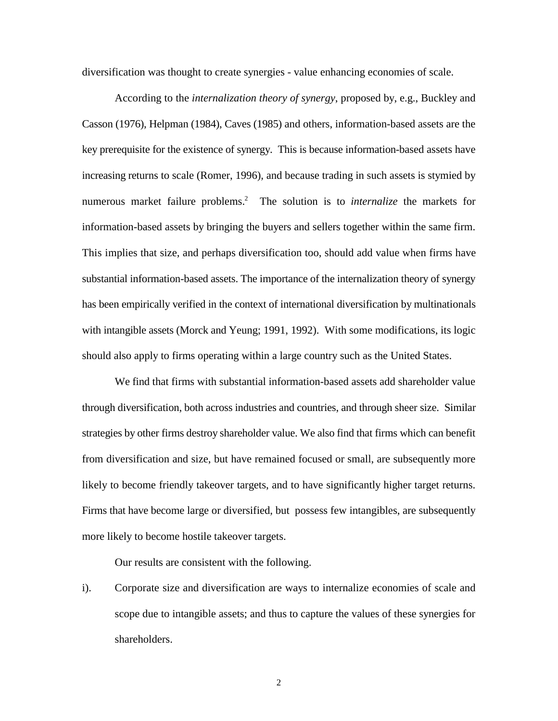diversification was thought to create synergies - value enhancing economies of scale.

According to the *internalization theory of synergy*, proposed by, e.g., Buckley and Casson (1976), Helpman (1984), Caves (1985) and others, information-based assets are the key prerequisite for the existence of synergy. This is because information-based assets have increasing returns to scale (Romer, 1996), and because trading in such assets is stymied by numerous market failure problems.<sup>2</sup> The solution is to *internalize* the markets for information-based assets by bringing the buyers and sellers together within the same firm. This implies that size, and perhaps diversification too, should add value when firms have substantial information-based assets. The importance of the internalization theory of synergy has been empirically verified in the context of international diversification by multinationals with intangible assets (Morck and Yeung; 1991, 1992). With some modifications, its logic should also apply to firms operating within a large country such as the United States.

We find that firms with substantial information-based assets add shareholder value through diversification, both across industries and countries, and through sheer size. Similar strategies by other firms destroy shareholder value. We also find that firms which can benefit from diversification and size, but have remained focused or small, are subsequently more likely to become friendly takeover targets, and to have significantly higher target returns. Firms that have become large or diversified, but possess few intangibles, are subsequently more likely to become hostile takeover targets.

Our results are consistent with the following.

i). Corporate size and diversification are ways to internalize economies of scale and scope due to intangible assets; and thus to capture the values of these synergies for shareholders.

2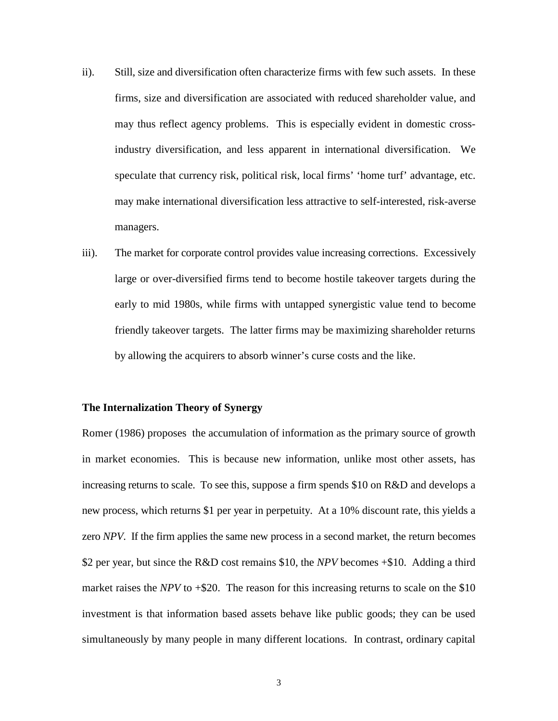- ii). Still, size and diversification often characterize firms with few such assets. In these firms, size and diversification are associated with reduced shareholder value, and may thus reflect agency problems. This is especially evident in domestic crossindustry diversification, and less apparent in international diversification. We speculate that currency risk, political risk, local firms' 'home turf' advantage, etc. may make international diversification less attractive to self-interested, risk-averse managers.
- iii). The market for corporate control provides value increasing corrections. Excessively large or over-diversified firms tend to become hostile takeover targets during the early to mid 1980s, while firms with untapped synergistic value tend to become friendly takeover targets. The latter firms may be maximizing shareholder returns by allowing the acquirers to absorb winner's curse costs and the like.

## **The Internalization Theory of Synergy**

Romer (1986) proposes the accumulation of information as the primary source of growth in market economies. This is because new information, unlike most other assets, has increasing returns to scale. To see this, suppose a firm spends \$10 on R&D and develops a new process, which returns \$1 per year in perpetuity. At a 10% discount rate, this yields a zero *NPV*. If the firm applies the same new process in a second market, the return becomes \$2 per year, but since the R&D cost remains \$10, the *NPV* becomes +\$10. Adding a third market raises the *NPV* to  $+\$20$ . The reason for this increasing returns to scale on the \$10 investment is that information based assets behave like public goods; they can be used simultaneously by many people in many different locations. In contrast, ordinary capital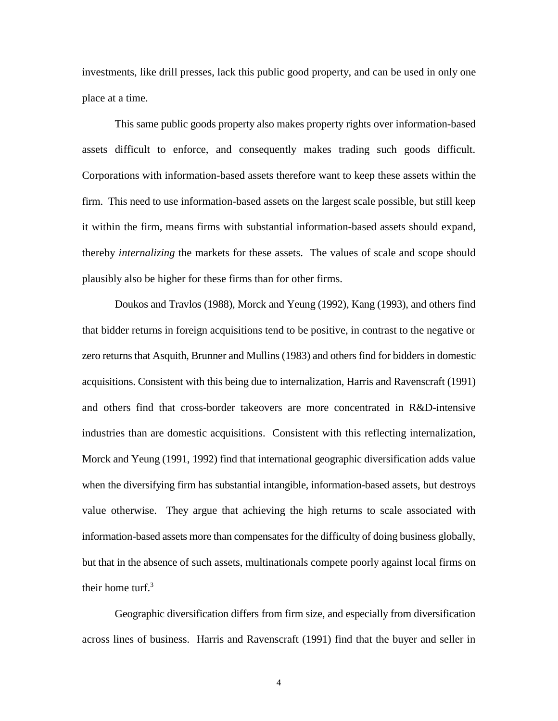investments, like drill presses, lack this public good property, and can be used in only one place at a time.

This same public goods property also makes property rights over information-based assets difficult to enforce, and consequently makes trading such goods difficult. Corporations with information-based assets therefore want to keep these assets within the firm. This need to use information-based assets on the largest scale possible, but still keep it within the firm, means firms with substantial information-based assets should expand, thereby *internalizing* the markets for these assets. The values of scale and scope should plausibly also be higher for these firms than for other firms.

Doukos and Travlos (1988), Morck and Yeung (1992), Kang (1993), and others find that bidder returns in foreign acquisitions tend to be positive, in contrast to the negative or zero returns that Asquith, Brunner and Mullins (1983) and others find for bidders in domestic acquisitions. Consistent with this being due to internalization, Harris and Ravenscraft (1991) and others find that cross-border takeovers are more concentrated in R&D-intensive industries than are domestic acquisitions. Consistent with this reflecting internalization, Morck and Yeung (1991, 1992) find that international geographic diversification adds value when the diversifying firm has substantial intangible, information-based assets, but destroys value otherwise. They argue that achieving the high returns to scale associated with information-based assets more than compensates for the difficulty of doing business globally, but that in the absence of such assets, multinationals compete poorly against local firms on their home turf. $3$ 

Geographic diversification differs from firm size, and especially from diversification across lines of business. Harris and Ravenscraft (1991) find that the buyer and seller in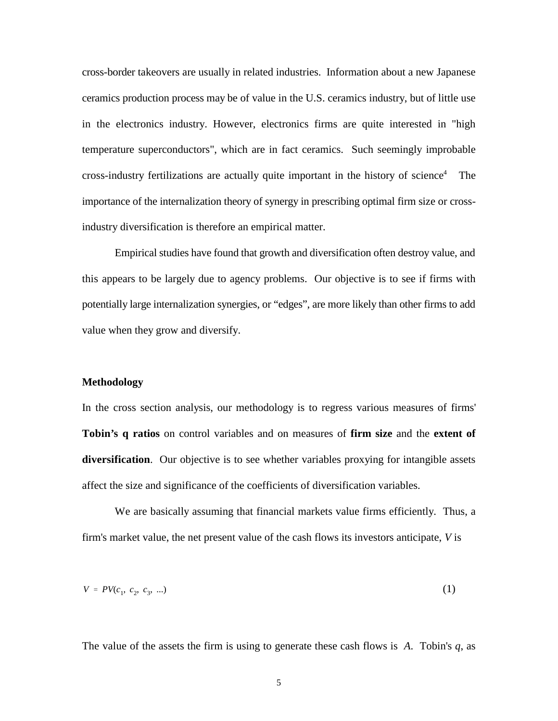cross-border takeovers are usually in related industries. Information about a new Japanese ceramics production process may be of value in the U.S. ceramics industry, but of little use in the electronics industry. However, electronics firms are quite interested in "high temperature superconductors", which are in fact ceramics. Such seemingly improbable cross-industry fertilizations are actually quite important in the history of science<sup>4</sup> The importance of the internalization theory of synergy in prescribing optimal firm size or crossindustry diversification is therefore an empirical matter.

Empirical studies have found that growth and diversification often destroy value, and this appears to be largely due to agency problems. Our objective is to see if firms with potentially large internalization synergies, or "edges", are more likely than other firms to add value when they grow and diversify.

## **Methodology**

In the cross section analysis, our methodology is to regress various measures of firms' **Tobin's q ratios** on control variables and on measures of **firm size** and the **extent of diversification**. Our objective is to see whether variables proxying for intangible assets affect the size and significance of the coefficients of diversification variables.

We are basically assuming that financial markets value firms efficiently. Thus, a firm's market value, the net present value of the cash flows its investors anticipate, *V* is

$$
V = PV(c_1, c_2, c_3, ...)
$$
 (1)

The value of the assets the firm is using to generate these cash flows is *A*. Tobin's *q*, as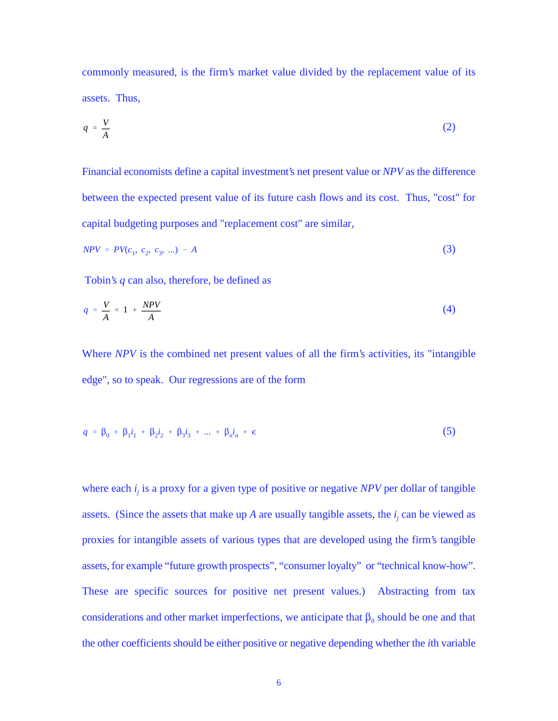commonly measured, is the firm's market value divided by the replacement value of its assets. Thus,

$$
q = \frac{V}{A} \tag{2}
$$

Financial economists define a capital investment's net present value or *NPV* as the difference between the expected present value of its future cash flows and its cost. Thus, "cost" for capital budgeting purposes and "replacement cost" are similar,

$$
NPV = PV(c_1, c_2, c_3, ...) - A
$$
 (3)

Tobin's *q* can also, therefore, be defined as

$$
q = \frac{V}{A} = 1 + \frac{NPV}{A} \tag{4}
$$

Where *NPV* is the combined net present values of all the firm's activities, its "intangible edge", so to speak. Our regressions are of the form

$$
q = \beta_0 + \beta_1 i_1 + \beta_2 i_2 + \beta_3 i_3 + \dots + \beta_n i_n + \epsilon
$$
 (5)

where each  $i_j$  is a proxy for a given type of positive or negative *NPV* per dollar of tangible assets. (Since the assets that make up *A* are usually tangible assets, the  $i_i$  can be viewed as proxies for intangible assets of various types that are developed using the firm's tangible assets, for example "future growth prospects", "consumer loyalty" or "technical know-how". These are specific sources for positive net present values.) Abstracting from tax considerations and other market imperfections, we anticipate that  $\beta_0$  should be one and that the other coefficients should be either positive or negative depending whether the *i*th variable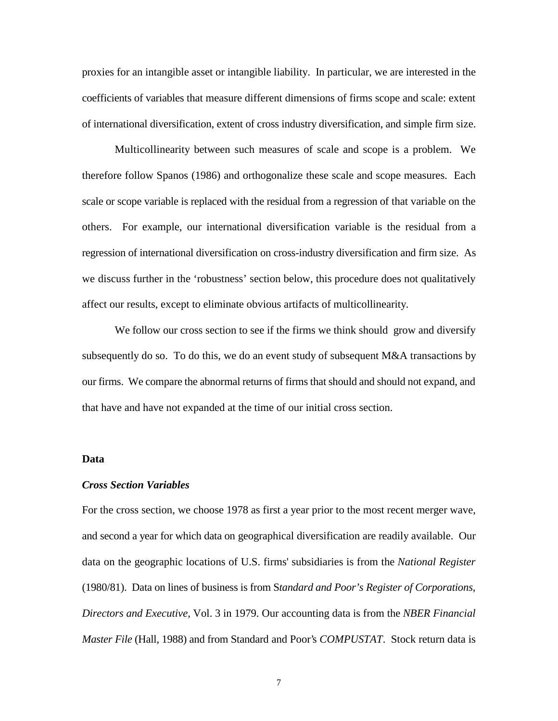proxies for an intangible asset or intangible liability. In particular, we are interested in the coefficients of variables that measure different dimensions of firms scope and scale: extent of international diversification, extent of cross industry diversification, and simple firm size.

Multicollinearity between such measures of scale and scope is a problem. We therefore follow Spanos (1986) and orthogonalize these scale and scope measures. Each scale or scope variable is replaced with the residual from a regression of that variable on the others. For example, our international diversification variable is the residual from a regression of international diversification on cross-industry diversification and firm size. As we discuss further in the 'robustness' section below, this procedure does not qualitatively affect our results, except to eliminate obvious artifacts of multicollinearity.

We follow our cross section to see if the firms we think should grow and diversify subsequently do so. To do this, we do an event study of subsequent M&A transactions by our firms. We compare the abnormal returns of firms that should and should not expand, and that have and have not expanded at the time of our initial cross section.

## **Data**

## *Cross Section Variables*

For the cross section, we choose 1978 as first a year prior to the most recent merger wave, and second a year for which data on geographical diversification are readily available. Our data on the geographic locations of U.S. firms' subsidiaries is from the *National Register* (1980/81). Data on lines of business is from S*tandard and Poor's Register of Corporations, Directors and Executive,* Vol. 3 in 1979. Our accounting data is from the *NBER Financial Master File* (Hall, 1988) and from Standard and Poor's *COMPUSTAT*. Stock return data is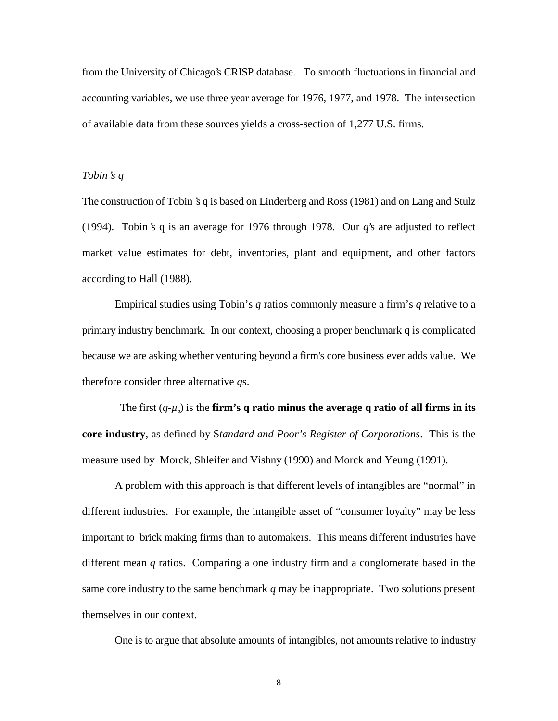from the University of Chicago's CRISP database. To smooth fluctuations in financial and accounting variables, we use three year average for 1976, 1977, and 1978. The intersection of available data from these sources yields a cross-section of 1,277 U.S. firms.

## *Tobin*\**s q*

The construction of Tobin 's q is based on Linderberg and Ross (1981) and on Lang and Stulz (1994). Tobin's q is an average for 1976 through 1978. Our  $q$ 's are adjusted to reflect market value estimates for debt, inventories, plant and equipment, and other factors according to Hall (1988).

Empirical studies using Tobin's *q* ratios commonly measure a firm's *q* relative to a primary industry benchmark. In our context, choosing a proper benchmark q is complicated because we are asking whether venturing beyond a firm's core business ever adds value. We therefore consider three alternative *q*s.

The first  $(q-\mu)$  is the **firm's q ratio minus the average q ratio of all firms in its core industry**, as defined by S*tandard and Poor's Register of Corporations*. This is the measure used by Morck, Shleifer and Vishny (1990) and Morck and Yeung (1991).

A problem with this approach is that different levels of intangibles are "normal" in different industries. For example, the intangible asset of "consumer loyalty" may be less important to brick making firms than to automakers. This means different industries have different mean *q* ratios. Comparing a one industry firm and a conglomerate based in the same core industry to the same benchmark *q* may be inappropriate. Two solutions present themselves in our context.

One is to argue that absolute amounts of intangibles, not amounts relative to industry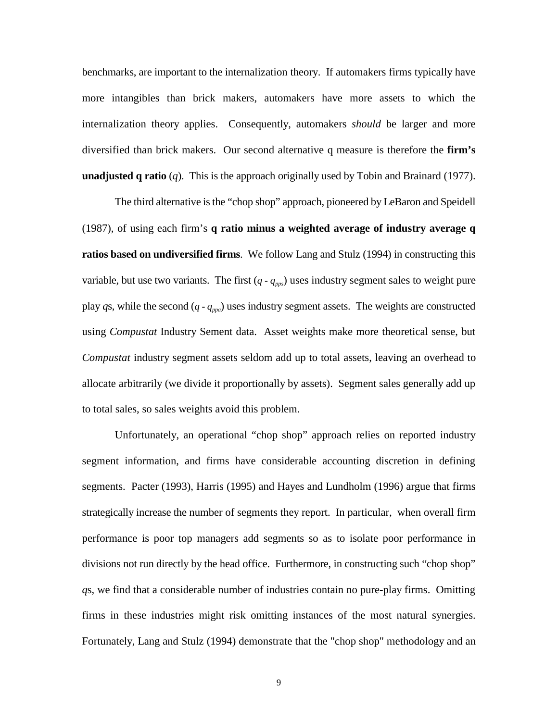benchmarks, are important to the internalization theory. If automakers firms typically have more intangibles than brick makers, automakers have more assets to which the internalization theory applies. Consequently, automakers *should* be larger and more diversified than brick makers. Our second alternative q measure is therefore the **firm's unadjusted q ratio** (*q*). This is the approach originally used by Tobin and Brainard (1977).

The third alternative is the "chop shop" approach, pioneered by LeBaron and Speidell (1987), of using each firm's **q ratio minus a weighted average of industry average q ratios based on undiversified firms**. We follow Lang and Stulz (1994) in constructing this variable, but use two variants. The first  $(q - q_{\text{pos}})$  uses industry segment sales to weight pure play *q*s, while the second (*q* - *qppa*) uses industry segment assets. The weights are constructed using *Compustat* Industry Sement data. Asset weights make more theoretical sense, but *Compustat* industry segment assets seldom add up to total assets, leaving an overhead to allocate arbitrarily (we divide it proportionally by assets). Segment sales generally add up to total sales, so sales weights avoid this problem.

Unfortunately, an operational "chop shop" approach relies on reported industry segment information, and firms have considerable accounting discretion in defining segments. Pacter (1993), Harris (1995) and Hayes and Lundholm (1996) argue that firms strategically increase the number of segments they report. In particular, when overall firm performance is poor top managers add segments so as to isolate poor performance in divisions not run directly by the head office. Furthermore, in constructing such "chop shop" *q*s, we find that a considerable number of industries contain no pure-play firms. Omitting firms in these industries might risk omitting instances of the most natural synergies. Fortunately, Lang and Stulz (1994) demonstrate that the "chop shop" methodology and an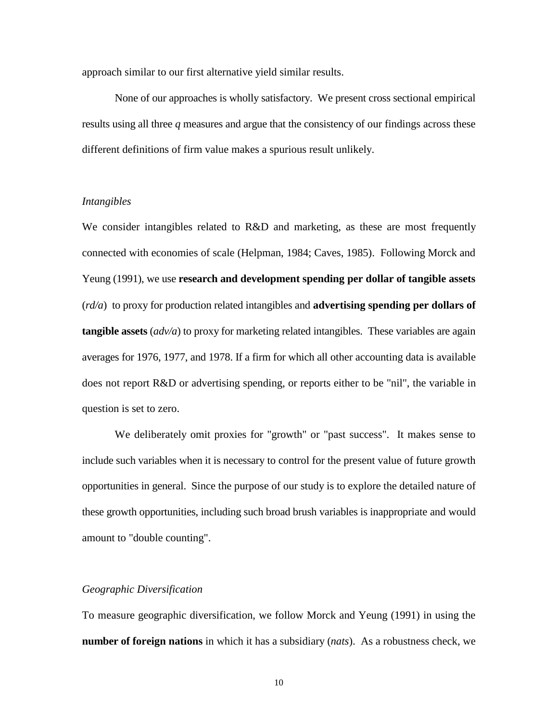approach similar to our first alternative yield similar results.

None of our approaches is wholly satisfactory. We present cross sectional empirical results using all three *q* measures and argue that the consistency of our findings across these different definitions of firm value makes a spurious result unlikely.

## *Intangibles*

We consider intangibles related to R&D and marketing, as these are most frequently connected with economies of scale (Helpman, 1984; Caves, 1985). Following Morck and Yeung (1991), we use **research and development spending per dollar of tangible assets** (*rd/a*) to proxy for production related intangibles and **advertising spending per dollars of tangible assets** (*adv/a*) to proxy for marketing related intangibles. These variables are again averages for 1976, 1977, and 1978. If a firm for which all other accounting data is available does not report R&D or advertising spending, or reports either to be "nil", the variable in question is set to zero.

We deliberately omit proxies for "growth" or "past success". It makes sense to include such variables when it is necessary to control for the present value of future growth opportunities in general. Since the purpose of our study is to explore the detailed nature of these growth opportunities, including such broad brush variables is inappropriate and would amount to "double counting".

#### *Geographic Diversification*

To measure geographic diversification, we follow Morck and Yeung (1991) in using the **number of foreign nations** in which it has a subsidiary (*nats*). As a robustness check, we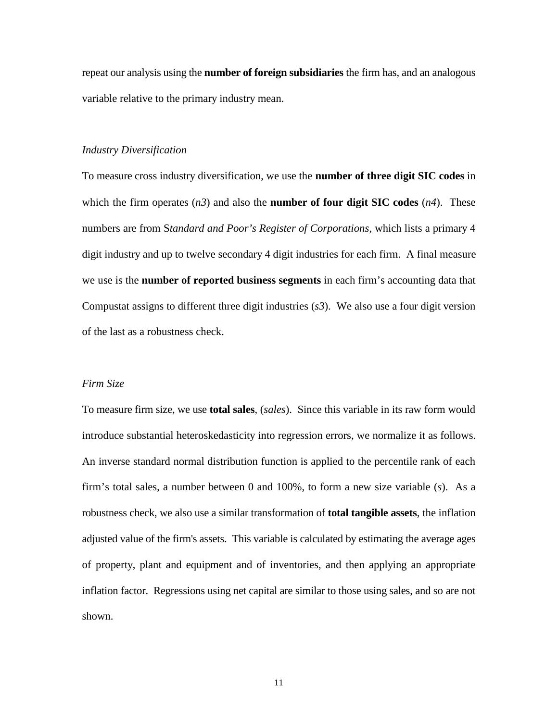repeat our analysis using the **number of foreign subsidiaries** the firm has, and an analogous variable relative to the primary industry mean.

## *Industry Diversification*

To measure cross industry diversification, we use the **number of three digit SIC codes** in which the firm operates  $(n3)$  and also the **number of four digit SIC codes**  $(n4)$ . These numbers are from S*tandard and Poor's Register of Corporations*, which lists a primary 4 digit industry and up to twelve secondary 4 digit industries for each firm. A final measure we use is the **number of reported business segments** in each firm's accounting data that Compustat assigns to different three digit industries (*s3*). We also use a four digit version of the last as a robustness check.

#### *Firm Size*

To measure firm size, we use **total sales**, (*sales*). Since this variable in its raw form would introduce substantial heteroskedasticity into regression errors, we normalize it as follows. An inverse standard normal distribution function is applied to the percentile rank of each firm's total sales, a number between 0 and 100%, to form a new size variable (*s*). As a robustness check, we also use a similar transformation of **total tangible assets**, the inflation adjusted value of the firm's assets. This variable is calculated by estimating the average ages of property, plant and equipment and of inventories, and then applying an appropriate inflation factor. Regressions using net capital are similar to those using sales, and so are not shown.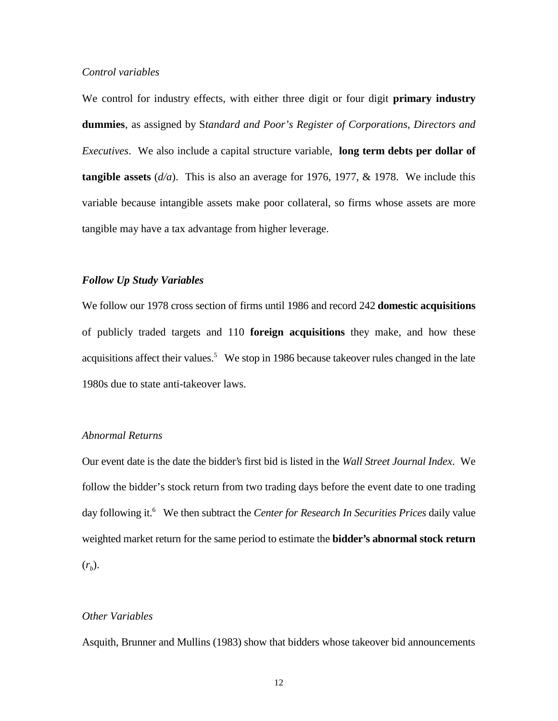## *Control variables*

We control for industry effects, with either three digit or four digit **primary industry dummies**, as assigned by S*tandard and Poor's Register of Corporations, Directors and Executives*. We also include a capital structure variable, **long term debts per dollar of tangible assets**  $(d/a)$ . This is also an average for 1976, 1977, & 1978. We include this variable because intangible assets make poor collateral, so firms whose assets are more tangible may have a tax advantage from higher leverage.

## *Follow Up Study Variables*

We follow our 1978 cross section of firms until 1986 and record 242 **domestic acquisitions** of publicly traded targets and 110 **foreign acquisitions** they make, and how these acquisitions affect their values.<sup>5</sup> We stop in 1986 because takeover rules changed in the late 1980s due to state anti-takeover laws.

## *Abnormal Returns*

Our event date is the date the bidder's first bid is listed in the *Wall Street Journal Index*. We follow the bidder's stock return from two trading days before the event date to one trading day following it.<sup>6</sup> We then subtract the *Center for Research In Securities Prices* daily value weighted market return for the same period to estimate the **bidder's abnormal stock return**  $(r<sub>b</sub>)$ .

## *Other Variables*

Asquith, Brunner and Mullins (1983) show that bidders whose takeover bid announcements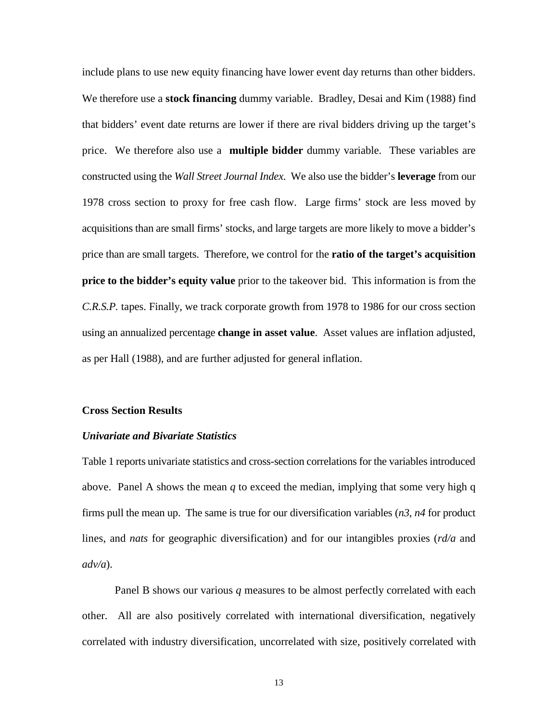include plans to use new equity financing have lower event day returns than other bidders. We therefore use a **stock financing** dummy variable. Bradley, Desai and Kim (1988) find that bidders' event date returns are lower if there are rival bidders driving up the target's price. We therefore also use a **multiple bidder** dummy variable. These variables are constructed using the *Wall Street Journal Index*. We also use the bidder's **leverage** from our 1978 cross section to proxy for free cash flow. Large firms' stock are less moved by acquisitions than are small firms' stocks, and large targets are more likely to move a bidder's price than are small targets. Therefore, we control for the **ratio of the target's acquisition price to the bidder's equity value** prior to the takeover bid. This information is from the *C.R.S.P.* tapes. Finally, we track corporate growth from 1978 to 1986 for our cross section using an annualized percentage **change in asset value**. Asset values are inflation adjusted, as per Hall (1988), and are further adjusted for general inflation.

## **Cross Section Results**

## *Univariate and Bivariate Statistics*

Table 1 reports univariate statistics and cross-section correlations for the variables introduced above. Panel A shows the mean *q* to exceed the median, implying that some very high q firms pull the mean up. The same is true for our diversification variables (*n3*, *n4* for product lines, and *nats* for geographic diversification) and for our intangibles proxies (*rd/a* and *adv/a*).

Panel B shows our various *q* measures to be almost perfectly correlated with each other. All are also positively correlated with international diversification, negatively correlated with industry diversification, uncorrelated with size, positively correlated with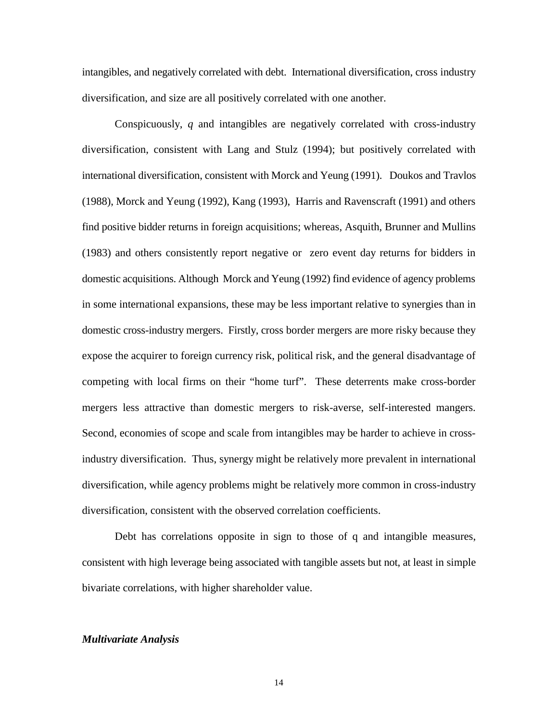intangibles, and negatively correlated with debt. International diversification, cross industry diversification, and size are all positively correlated with one another.

Conspicuously, *q* and intangibles are negatively correlated with cross-industry diversification, consistent with Lang and Stulz (1994); but positively correlated with international diversification, consistent with Morck and Yeung (1991). Doukos and Travlos (1988), Morck and Yeung (1992), Kang (1993), Harris and Ravenscraft (1991) and others find positive bidder returns in foreign acquisitions; whereas, Asquith, Brunner and Mullins (1983) and others consistently report negative or zero event day returns for bidders in domestic acquisitions. Although Morck and Yeung (1992) find evidence of agency problems in some international expansions, these may be less important relative to synergies than in domestic cross-industry mergers. Firstly, cross border mergers are more risky because they expose the acquirer to foreign currency risk, political risk, and the general disadvantage of competing with local firms on their "home turf". These deterrents make cross-border mergers less attractive than domestic mergers to risk-averse, self-interested mangers. Second, economies of scope and scale from intangibles may be harder to achieve in crossindustry diversification. Thus, synergy might be relatively more prevalent in international diversification, while agency problems might be relatively more common in cross-industry diversification, consistent with the observed correlation coefficients.

Debt has correlations opposite in sign to those of q and intangible measures, consistent with high leverage being associated with tangible assets but not, at least in simple bivariate correlations, with higher shareholder value.

## *Multivariate Analysis*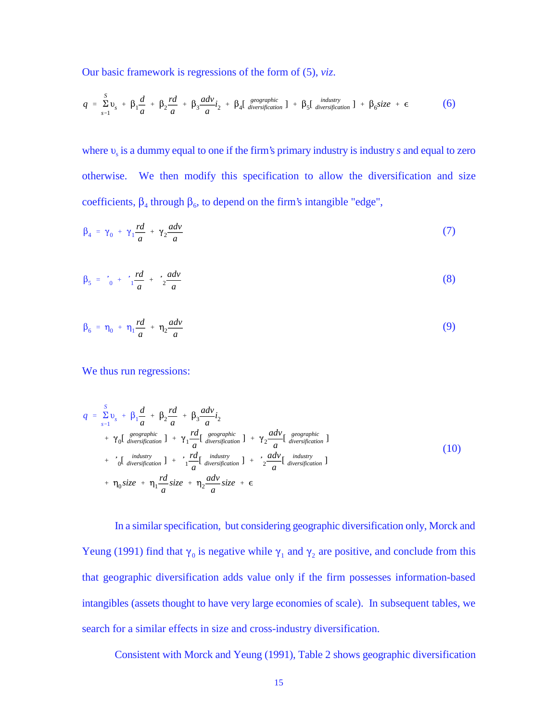Our basic framework is regressions of the form of (5), *viz*.

$$
q = \sum_{s=1}^{S} v_s + \beta_1 \frac{d}{a} + \beta_2 \frac{rd}{a} + \beta_3 \frac{adv}{a} i_2 + \beta_4 [\text{g}^{geographic}_{diversification}] + \beta_5 [\text{d}^{industry}_{diversification}] + \beta_6 size + \epsilon
$$
 (6)

where  $v<sub>s</sub>$  is a dummy equal to one if the firm's primary industry is industry *s* and equal to zero otherwise. We then modify this specification to allow the diversification and size coefficients,  $\beta_4$  through  $\beta_6$ , to depend on the firm's intangible "edge",

$$
\beta_4 = \gamma_0 + \gamma_1 \frac{rd}{a} + \gamma_2 \frac{adv}{a} \tag{7}
$$

$$
\beta_5 = \frac{d}{b_0} + \frac{r d}{1} \frac{r d}{a} + \frac{r d v}{2} \tag{8}
$$

$$
\beta_6 = \eta_0 + \eta_1 \frac{rd}{a} + \eta_2 \frac{adv}{a} \tag{9}
$$

We thus run regressions:

$$
q = \sum_{s=1}^{S} v_s + \beta_1 \frac{d}{a} + \beta_2 \frac{rd}{a} + \beta_3 \frac{adv}{a} i_2
$$
  
+  $\gamma_0 \left[ \frac{geographic}{diversification} \right] + \gamma_1 \frac{rd}{a} \left[ \frac{geographic}{diversification} \right] + \gamma_2 \frac{adv}{a} \left[ \frac{geographic}{diversification} \right]$   
+  $\gamma_0 \left[ \frac{industr}{diversification} \right] + \gamma_1 \frac{rd}{a} \left[ \frac{industr}{diversification} \right] + \gamma_2 \frac{adv}{a} \left[ \frac{industr}{diversification} \right]$   
+  $\eta_0 size + \eta_1 \frac{rd}{a} size + \eta_2 \frac{adv}{a} size + \epsilon$  (10)

In a similar specification, but considering geographic diversification only, Morck and Yeung (1991) find that  $\gamma_0$  is negative while  $\gamma_1$  and  $\gamma_2$  are positive, and conclude from this that geographic diversification adds value only if the firm possesses information-based intangibles (assets thought to have very large economies of scale). In subsequent tables, we search for a similar effects in size and cross-industry diversification.

Consistent with Morck and Yeung (1991), Table 2 shows geographic diversification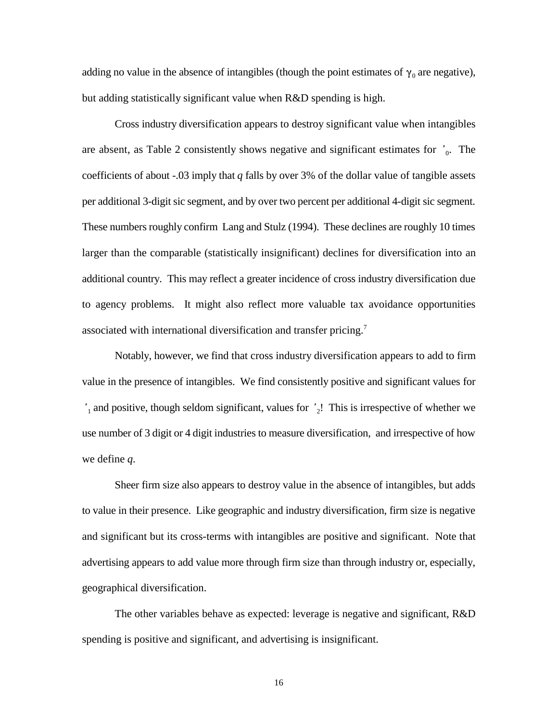adding no value in the absence of intangibles (though the point estimates of  $\gamma_0$  are negative), but adding statistically significant value when R&D spending is high.

Cross industry diversification appears to destroy significant value when intangibles are absent, as Table 2 consistently shows negative and significant estimates for  $\dot{ }$ <sup>0</sup>. The coefficients of about -.03 imply that *q* falls by over 3% of the dollar value of tangible assets per additional 3-digit sic segment, and by over two percent per additional 4-digit sic segment. These numbers roughly confirm Lang and Stulz (1994). These declines are roughly 10 times larger than the comparable (statistically insignificant) declines for diversification into an additional country. This may reflect a greater incidence of cross industry diversification due to agency problems. It might also reflect more valuable tax avoidance opportunities associated with international diversification and transfer pricing.<sup>7</sup>

Notably, however, we find that cross industry diversification appears to add to firm value in the presence of intangibles. We find consistently positive and significant values for  $i_1$  and positive, though seldom significant, values for  $i_2$ ! This is irrespective of whether we use number of 3 digit or 4 digit industries to measure diversification, and irrespective of how we define *q*.

Sheer firm size also appears to destroy value in the absence of intangibles, but adds to value in their presence. Like geographic and industry diversification, firm size is negative and significant but its cross-terms with intangibles are positive and significant. Note that advertising appears to add value more through firm size than through industry or, especially, geographical diversification.

The other variables behave as expected: leverage is negative and significant, R&D spending is positive and significant, and advertising is insignificant.

16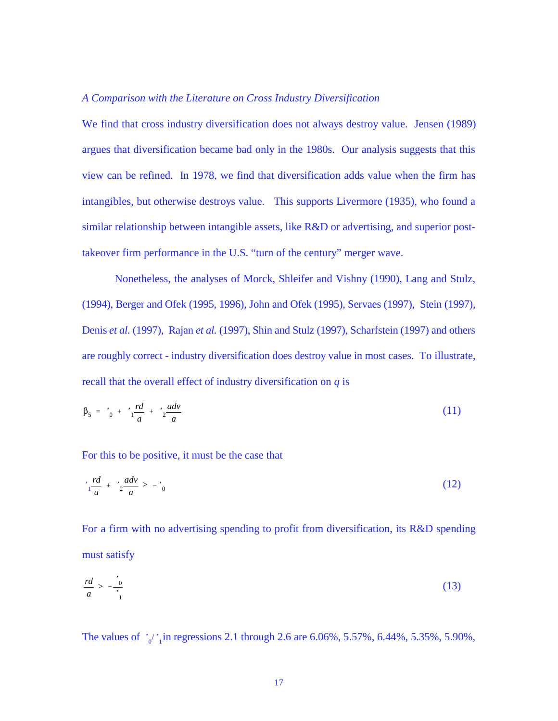## *A Comparison with the Literature on Cross Industry Diversification*

We find that cross industry diversification does not always destroy value. Jensen (1989) argues that diversification became bad only in the 1980s. Our analysis suggests that this view can be refined. In 1978, we find that diversification adds value when the firm has intangibles, but otherwise destroys value. This supports Livermore (1935), who found a similar relationship between intangible assets, like R&D or advertising, and superior posttakeover firm performance in the U.S. "turn of the century" merger wave.

Nonetheless, the analyses of Morck, Shleifer and Vishny (1990), Lang and Stulz, (1994), Berger and Ofek (1995, 1996), John and Ofek (1995), Servaes (1997), Stein (1997), Denis *et al.* (1997), Rajan *et al.* (1997), Shin and Stulz (1997), Scharfstein (1997) and others are roughly correct - industry diversification does destroy value in most cases. To illustrate, recall that the overall effect of industry diversification on *q* is

$$
\beta_5 = \frac{d}{b_5} + \frac{r d}{1} \frac{d}{a} + \frac{r d}{2} \frac{d}{a}
$$
 (11)

For this to be positive, it must be the case that

$$
\frac{rd}{1-a} + \frac{adv}{2-a} > -\frac{d}{0}
$$
 (12)

For a firm with no advertising spending to profit from diversification, its R&D spending must satisfy

$$
\frac{rd}{a} > -\frac{0}{1}
$$

The values of  $i_0/i_1$  in regressions 2.1 through 2.6 are 6.06%, 5.57%, 6.44%, 5.35%, 5.90%,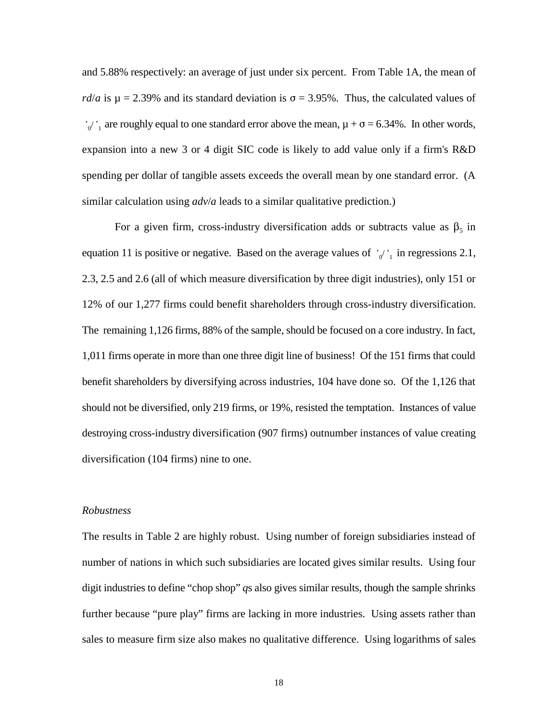$v'_{0}$ , are roughly equal to one standard error above the mean,  $\mu + \sigma = 6.34\%$ . In other words, and 5.88% respectively: an average of just under six percent. From Table 1A, the mean of *rd*/*a* is  $\mu$  = 2.39% and its standard deviation is  $\sigma$  = 3.95%. Thus, the calculated values of expansion into a new 3 or 4 digit SIC code is likely to add value only if a firm's R&D spending per dollar of tangible assets exceeds the overall mean by one standard error. (A similar calculation using *adv*/*a* leads to a similar qualitative prediction.)

equation 11 is positive or negative. Based on the average values of  $i_0$   $i_1$  in regressions 2.1, For a given firm, cross-industry diversification adds or subtracts value as  $\beta_5$  in 2.3, 2.5 and 2.6 (all of which measure diversification by three digit industries), only 151 or 12% of our 1,277 firms could benefit shareholders through cross-industry diversification. The remaining 1,126 firms, 88% of the sample, should be focused on a core industry. In fact, 1,011 firms operate in more than one three digit line of business! Of the 151 firms that could benefit shareholders by diversifying across industries, 104 have done so. Of the 1,126 that should not be diversified, only 219 firms, or 19%, resisted the temptation. Instances of value destroying cross-industry diversification (907 firms) outnumber instances of value creating diversification (104 firms) nine to one.

## *Robustness*

The results in Table 2 are highly robust. Using number of foreign subsidiaries instead of number of nations in which such subsidiaries are located gives similar results. Using four digit industries to define "chop shop" *q*s also gives similar results, though the sample shrinks further because "pure play" firms are lacking in more industries. Using assets rather than sales to measure firm size also makes no qualitative difference. Using logarithms of sales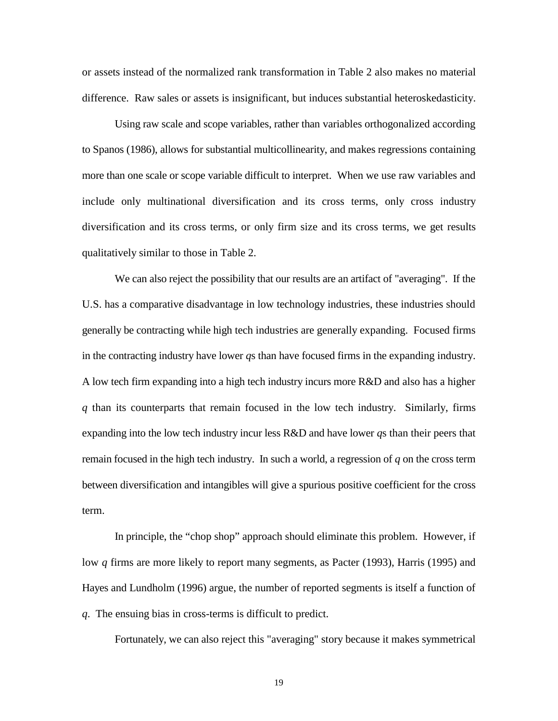or assets instead of the normalized rank transformation in Table 2 also makes no material difference. Raw sales or assets is insignificant, but induces substantial heteroskedasticity.

Using raw scale and scope variables, rather than variables orthogonalized according to Spanos (1986), allows for substantial multicollinearity, and makes regressions containing more than one scale or scope variable difficult to interpret. When we use raw variables and include only multinational diversification and its cross terms, only cross industry diversification and its cross terms, or only firm size and its cross terms, we get results qualitatively similar to those in Table 2.

We can also reject the possibility that our results are an artifact of "averaging". If the U.S. has a comparative disadvantage in low technology industries, these industries should generally be contracting while high tech industries are generally expanding. Focused firms in the contracting industry have lower *q*s than have focused firms in the expanding industry. A low tech firm expanding into a high tech industry incurs more R&D and also has a higher *q* than its counterparts that remain focused in the low tech industry. Similarly, firms expanding into the low tech industry incur less R&D and have lower *q*s than their peers that remain focused in the high tech industry. In such a world, a regression of *q* on the cross term between diversification and intangibles will give a spurious positive coefficient for the cross term.

In principle, the "chop shop" approach should eliminate this problem. However, if low *q* firms are more likely to report many segments, as Pacter (1993), Harris (1995) and Hayes and Lundholm (1996) argue, the number of reported segments is itself a function of *q*. The ensuing bias in cross-terms is difficult to predict.

Fortunately, we can also reject this "averaging" story because it makes symmetrical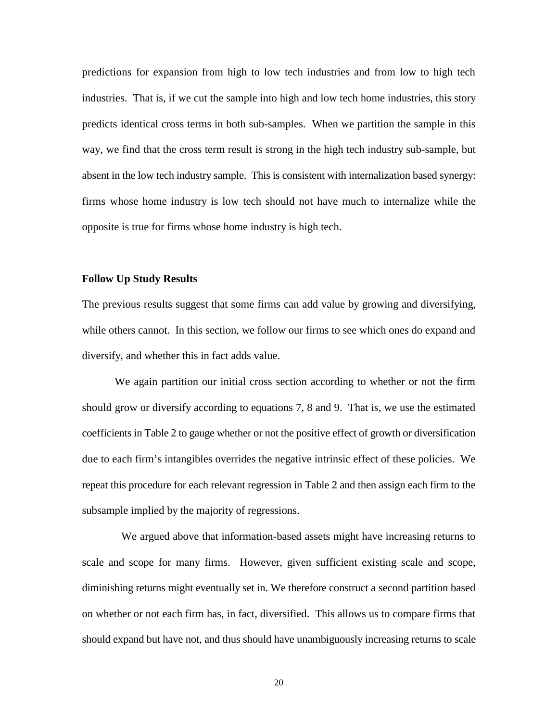predictions for expansion from high to low tech industries and from low to high tech industries. That is, if we cut the sample into high and low tech home industries, this story predicts identical cross terms in both sub-samples. When we partition the sample in this way, we find that the cross term result is strong in the high tech industry sub-sample, but absent in the low tech industry sample. This is consistent with internalization based synergy: firms whose home industry is low tech should not have much to internalize while the opposite is true for firms whose home industry is high tech.

## **Follow Up Study Results**

The previous results suggest that some firms can add value by growing and diversifying, while others cannot. In this section, we follow our firms to see which ones do expand and diversify, and whether this in fact adds value.

We again partition our initial cross section according to whether or not the firm should grow or diversify according to equations 7, 8 and 9. That is, we use the estimated coefficients in Table 2 to gauge whether or not the positive effect of growth or diversification due to each firm's intangibles overrides the negative intrinsic effect of these policies. We repeat this procedure for each relevant regression in Table 2 and then assign each firm to the subsample implied by the majority of regressions.

 We argued above that information-based assets might have increasing returns to scale and scope for many firms. However, given sufficient existing scale and scope, diminishing returns might eventually set in. We therefore construct a second partition based on whether or not each firm has, in fact, diversified. This allows us to compare firms that should expand but have not, and thus should have unambiguously increasing returns to scale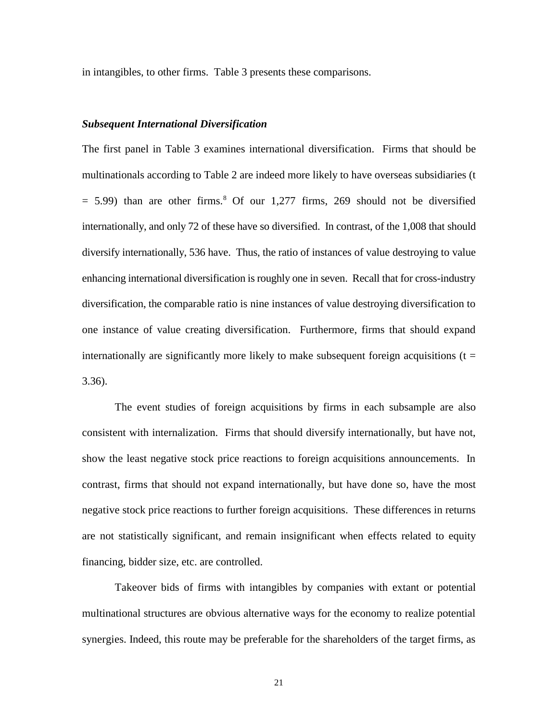in intangibles, to other firms. Table 3 presents these comparisons.

## *Subsequent International Diversification*

The first panel in Table 3 examines international diversification. Firms that should be multinationals according to Table 2 are indeed more likely to have overseas subsidiaries (t  $= 5.99$ ) than are other firms.<sup>8</sup> Of our 1,277 firms, 269 should not be diversified internationally, and only 72 of these have so diversified. In contrast, of the 1,008 that should diversify internationally, 536 have. Thus, the ratio of instances of value destroying to value enhancing international diversification is roughly one in seven. Recall that for cross-industry diversification, the comparable ratio is nine instances of value destroying diversification to one instance of value creating diversification. Furthermore, firms that should expand internationally are significantly more likely to make subsequent foreign acquisitions ( $t =$ 3.36).

The event studies of foreign acquisitions by firms in each subsample are also consistent with internalization. Firms that should diversify internationally, but have not, show the least negative stock price reactions to foreign acquisitions announcements. In contrast, firms that should not expand internationally, but have done so, have the most negative stock price reactions to further foreign acquisitions. These differences in returns are not statistically significant, and remain insignificant when effects related to equity financing, bidder size, etc. are controlled.

Takeover bids of firms with intangibles by companies with extant or potential multinational structures are obvious alternative ways for the economy to realize potential synergies. Indeed, this route may be preferable for the shareholders of the target firms, as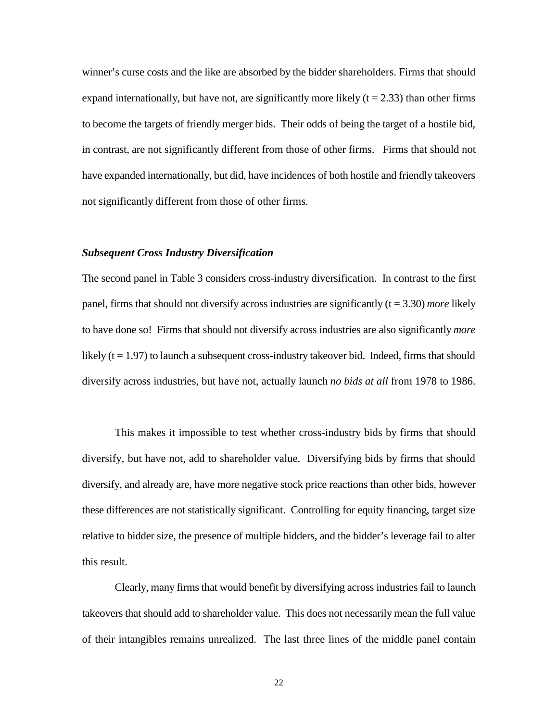winner's curse costs and the like are absorbed by the bidder shareholders. Firms that should expand internationally, but have not, are significantly more likely  $(t = 2.33)$  than other firms to become the targets of friendly merger bids. Their odds of being the target of a hostile bid, in contrast, are not significantly different from those of other firms. Firms that should not have expanded internationally, but did, have incidences of both hostile and friendly takeovers not significantly different from those of other firms.

## *Subsequent Cross Industry Diversification*

The second panel in Table 3 considers cross-industry diversification. In contrast to the first panel, firms that should not diversify across industries are significantly  $(t = 3.30)$  *more* likely to have done so! Firms that should not diversify across industries are also significantly *more* likely  $(t = 1.97)$  to launch a subsequent cross-industry takeover bid. Indeed, firms that should diversify across industries, but have not, actually launch *no bids at all* from 1978 to 1986.

This makes it impossible to test whether cross-industry bids by firms that should diversify, but have not, add to shareholder value. Diversifying bids by firms that should diversify, and already are, have more negative stock price reactions than other bids, however these differences are not statistically significant. Controlling for equity financing, target size relative to bidder size, the presence of multiple bidders, and the bidder's leverage fail to alter this result.

Clearly, many firms that would benefit by diversifying across industries fail to launch takeovers that should add to shareholder value. This does not necessarily mean the full value of their intangibles remains unrealized. The last three lines of the middle panel contain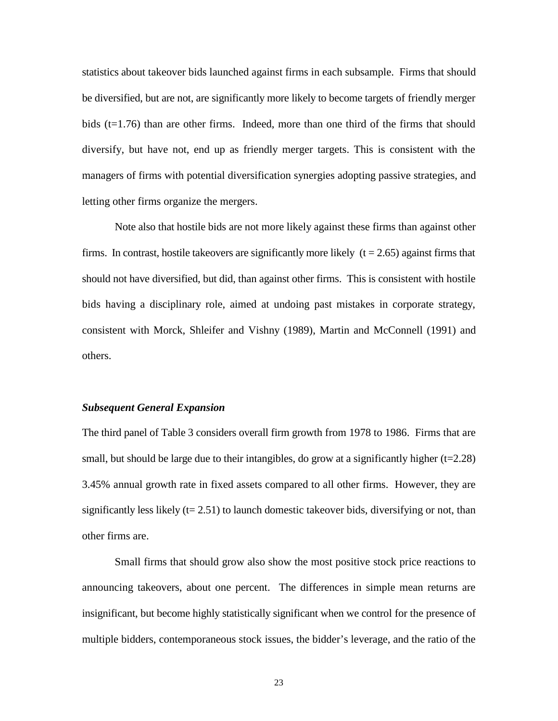statistics about takeover bids launched against firms in each subsample. Firms that should be diversified, but are not, are significantly more likely to become targets of friendly merger bids (t=1.76) than are other firms. Indeed, more than one third of the firms that should diversify, but have not, end up as friendly merger targets. This is consistent with the managers of firms with potential diversification synergies adopting passive strategies, and letting other firms organize the mergers.

Note also that hostile bids are not more likely against these firms than against other firms. In contrast, hostile takeovers are significantly more likely  $(t = 2.65)$  against firms that should not have diversified, but did, than against other firms. This is consistent with hostile bids having a disciplinary role, aimed at undoing past mistakes in corporate strategy, consistent with Morck, Shleifer and Vishny (1989), Martin and McConnell (1991) and others.

## *Subsequent General Expansion*

The third panel of Table 3 considers overall firm growth from 1978 to 1986. Firms that are small, but should be large due to their intangibles, do grow at a significantly higher  $(t=2.28)$ 3.45% annual growth rate in fixed assets compared to all other firms. However, they are significantly less likely  $(t= 2.51)$  to launch domestic takeover bids, diversifying or not, than other firms are.

Small firms that should grow also show the most positive stock price reactions to announcing takeovers, about one percent. The differences in simple mean returns are insignificant, but become highly statistically significant when we control for the presence of multiple bidders, contemporaneous stock issues, the bidder's leverage, and the ratio of the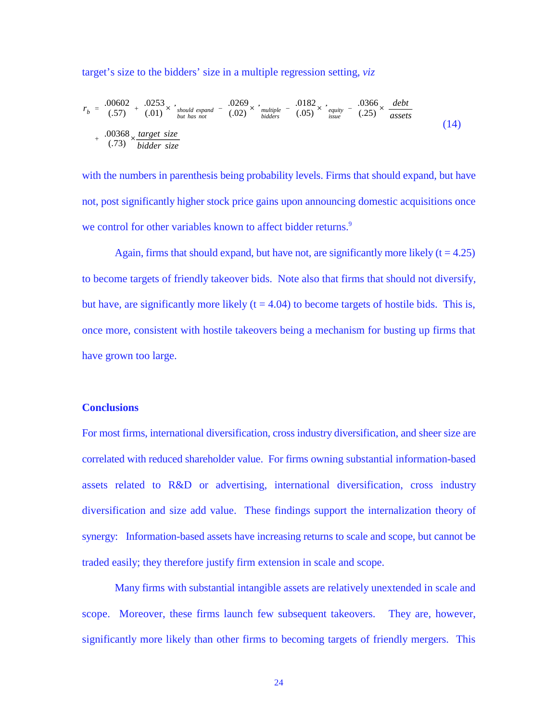target's size to the bidders' size in a multiple regression setting, *viz*

$$
r_b = \frac{.00602}{(.57)} + \frac{.0253}{(.01)} \times \int_{but\ has\ not}^{s}\n\frac{.0269}{.029} \times \int_{bidders}^{multiple} - \frac{.0182}{(.05)} \times \int_{issue}^{e}\n\frac{.0366}{.25} \times \frac{debt}{assets}\n+ \frac{.00368}{(.73)} \times \frac{target\ size}{bidder\ size}
$$
\n(14)

with the numbers in parenthesis being probability levels. Firms that should expand, but have not, post significantly higher stock price gains upon announcing domestic acquisitions once we control for other variables known to affect bidder returns.<sup>9</sup>

Again, firms that should expand, but have not, are significantly more likely  $(t = 4.25)$ to become targets of friendly takeover bids. Note also that firms that should not diversify, but have, are significantly more likely  $(t = 4.04)$  to become targets of hostile bids. This is, once more, consistent with hostile takeovers being a mechanism for busting up firms that have grown too large.

## **Conclusions**

For most firms, international diversification, cross industry diversification, and sheer size are correlated with reduced shareholder value. For firms owning substantial information-based assets related to R&D or advertising, international diversification, cross industry diversification and size add value. These findings support the internalization theory of synergy: Information-based assets have increasing returns to scale and scope, but cannot be traded easily; they therefore justify firm extension in scale and scope.

Many firms with substantial intangible assets are relatively unextended in scale and scope. Moreover, these firms launch few subsequent takeovers. They are, however, significantly more likely than other firms to becoming targets of friendly mergers. This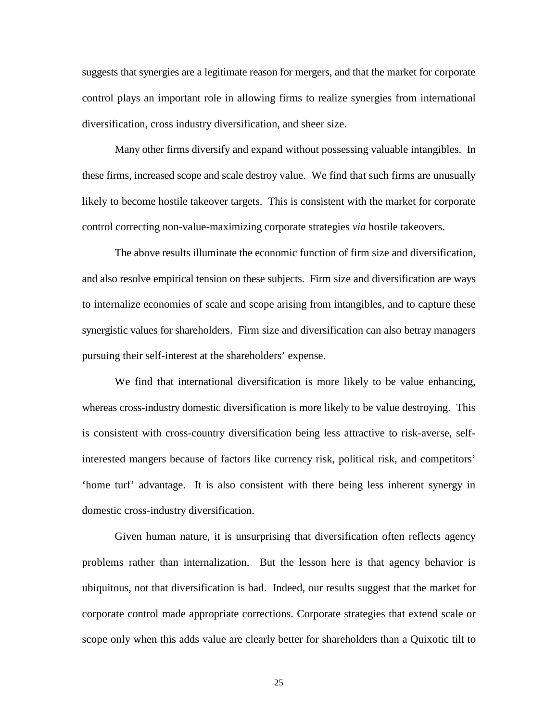suggests that synergies are a legitimate reason for mergers, and that the market for corporate control plays an important role in allowing firms to realize synergies from international diversification, cross industry diversification, and sheer size.

Many other firms diversify and expand without possessing valuable intangibles. In these firms, increased scope and scale destroy value. We find that such firms are unusually likely to become hostile takeover targets. This is consistent with the market for corporate control correcting non-value-maximizing corporate strategies *via* hostile takeovers.

The above results illuminate the economic function of firm size and diversification, and also resolve empirical tension on these subjects. Firm size and diversification are ways to internalize economies of scale and scope arising from intangibles, and to capture these synergistic values for shareholders. Firm size and diversification can also betray managers pursuing their self-interest at the shareholders' expense.

We find that international diversification is more likely to be value enhancing, whereas cross-industry domestic diversification is more likely to be value destroying. This is consistent with cross-country diversification being less attractive to risk-averse, selfinterested mangers because of factors like currency risk, political risk, and competitors' 'home turf' advantage. It is also consistent with there being less inherent synergy in domestic cross-industry diversification.

Given human nature, it is unsurprising that diversification often reflects agency problems rather than internalization. But the lesson here is that agency behavior is ubiquitous, not that diversification is bad. Indeed, our results suggest that the market for corporate control made appropriate corrections. Corporate strategies that extend scale or scope only when this adds value are clearly better for shareholders than a Quixotic tilt to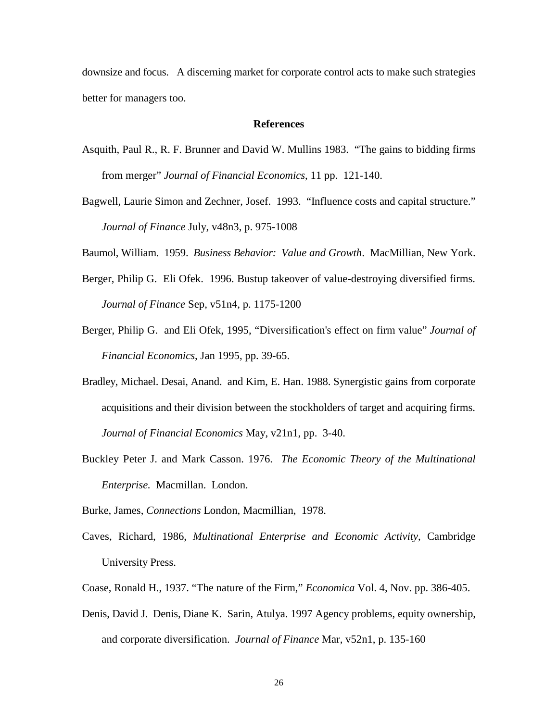downsize and focus. A discerning market for corporate control acts to make such strategies better for managers too.

## **References**

- Asquith, Paul R., R. F. Brunner and David W. Mullins 1983. "The gains to bidding firms from merger" *Journal of Financial Economics*, 11 pp. 121-140.
- Bagwell, Laurie Simon and Zechner, Josef. 1993. "Influence costs and capital structure." *Journal of Finance* July, v48n3, p. 975-1008

Baumol, William. 1959. *Business Behavior: Value and Growth*. MacMillian, New York.

- Berger, Philip G. Eli Ofek. 1996. Bustup takeover of value-destroying diversified firms. *Journal of Finance* Sep, v51n4, p. 1175-1200
- Berger, Philip G. and Eli Ofek, 1995, "Diversification's effect on firm value" *Journal of Financial Economics*, Jan 1995, pp. 39-65.
- Bradley, Michael. Desai, Anand. and Kim, E. Han. 1988. Synergistic gains from corporate acquisitions and their division between the stockholders of target and acquiring firms. *Journal of Financial Economics* May, v21n1, pp. 3-40.
- Buckley Peter J. and Mark Casson. 1976. *The Economic Theory of the Multinational Enterprise.* Macmillan. London.
- Burke, James, *Connections* London, Macmillian, 1978.
- Caves, Richard, 1986, *Multinational Enterprise and Economic Activity*, Cambridge University Press.
- Coase, Ronald H., 1937. "The nature of the Firm," *Economica* Vol. 4, Nov. pp. 386-405.
- Denis, David J. Denis, Diane K. Sarin, Atulya. 1997 Agency problems, equity ownership, and corporate diversification. *Journal of Finance* Mar, v52n1, p. 135-160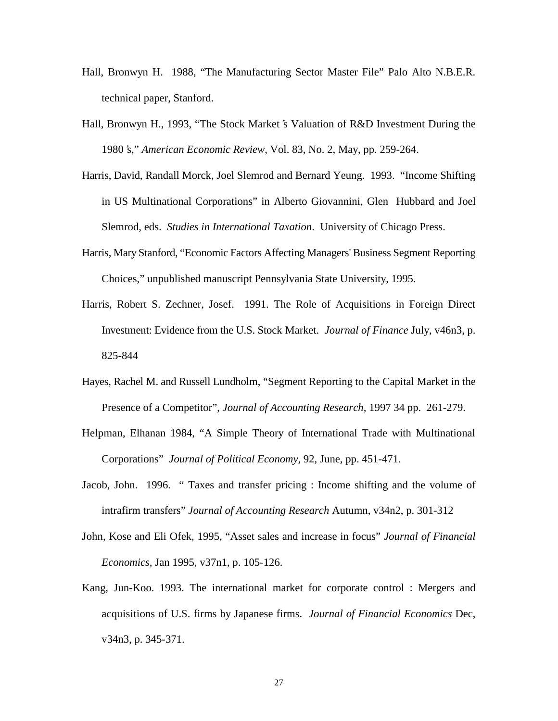- Hall, Bronwyn H. 1988, "The Manufacturing Sector Master File" Palo Alto N.B.E.R. technical paper, Stanford.
- Hall, Bronwyn H., 1993, "The Stock Market's Valuation of R&D Investment During the 1980 's," *American Economic Review*, Vol. 83, No. 2, May, pp. 259-264.
- Harris, David, Randall Morck, Joel Slemrod and Bernard Yeung. 1993. "Income Shifting in US Multinational Corporations" in Alberto Giovannini, Glen Hubbard and Joel Slemrod, eds. *Studies in International Taxation*. University of Chicago Press.
- Harris, Mary Stanford, "Economic Factors Affecting Managers' Business Segment Reporting Choices," unpublished manuscript Pennsylvania State University, 1995.
- Harris, Robert S. Zechner, Josef. 1991. The Role of Acquisitions in Foreign Direct Investment: Evidence from the U.S. Stock Market. *Journal of Finance* July, v46n3, p. 825-844
- Hayes, Rachel M. and Russell Lundholm, "Segment Reporting to the Capital Market in the Presence of a Competitor", *Journal of Accounting Research*, 1997 34 pp. 261-279.
- Helpman, Elhanan 1984, "A Simple Theory of International Trade with Multinational Corporations" *Journal of Political Economy*, 92, June, pp. 451-471.
- Jacob, John. 1996. " Taxes and transfer pricing : Income shifting and the volume of intrafirm transfers" *Journal of Accounting Research* Autumn, v34n2, p. 301-312
- John, Kose and Eli Ofek, 1995, "Asset sales and increase in focus" *Journal of Financial Economics,* Jan 1995, v37n1, p. 105-126.
- Kang, Jun-Koo. 1993. The international market for corporate control : Mergers and acquisitions of U.S. firms by Japanese firms. *Journal of Financial Economics* Dec, v34n3, p. 345-371.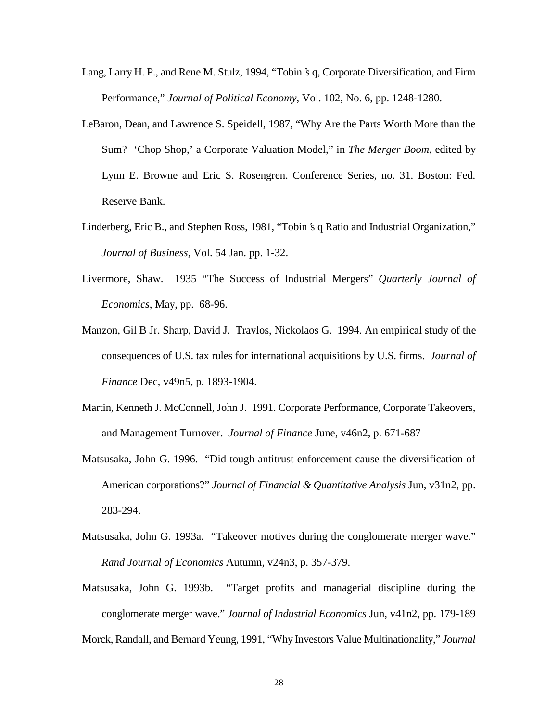- Lang, Larry H. P., and Rene M. Stulz, 1994, "Tobin's q, Corporate Diversification, and Firm Performance," *Journal of Political Economy*, Vol. 102, No. 6, pp. 1248-1280.
- LeBaron, Dean, and Lawrence S. Speidell, 1987, "Why Are the Parts Worth More than the Sum? 'Chop Shop,' a Corporate Valuation Model," in *The Merger Boom*, edited by Lynn E. Browne and Eric S. Rosengren. Conference Series, no. 31. Boston: Fed. Reserve Bank.
- Linderberg, Eric B., and Stephen Ross, 1981, "Tobin's q Ratio and Industrial Organization," *Journal of Business*, Vol. 54 Jan. pp. 1-32.
- Livermore, Shaw. 1935 "The Success of Industrial Mergers" *Quarterly Journal of Economics*, May, pp. 68-96.
- Manzon, Gil B Jr. Sharp, David J. Travlos, Nickolaos G. 1994. An empirical study of the consequences of U.S. tax rules for international acquisitions by U.S. firms. *Journal of Finance* Dec, v49n5, p. 1893-1904.
- Martin, Kenneth J. McConnell, John J. 1991. Corporate Performance, Corporate Takeovers, and Management Turnover. *Journal of Finance* June, v46n2, p. 671-687
- Matsusaka, John G. 1996. "Did tough antitrust enforcement cause the diversification of American corporations?" *Journal of Financial & Quantitative Analysis* Jun, v31n2, pp. 283-294.
- Matsusaka, John G. 1993a. "Takeover motives during the conglomerate merger wave." *Rand Journal of Economics* Autumn, v24n3, p. 357-379.
- Matsusaka, John G. 1993b. "Target profits and managerial discipline during the conglomerate merger wave." *Journal of Industrial Economics* Jun, v41n2, pp. 179-189 Morck, Randall, and Bernard Yeung, 1991, "Why Investors Value Multinationality," *Journal*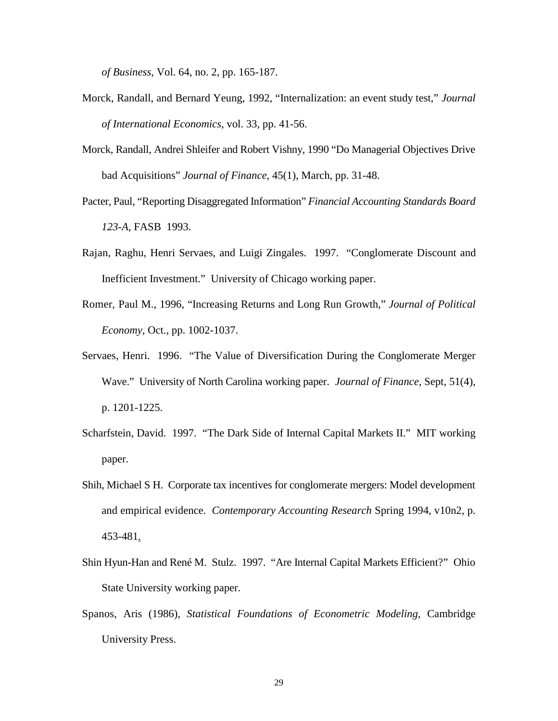*of Business*, Vol. 64, no. 2, pp. 165-187.

- Morck, Randall, and Bernard Yeung, 1992, "Internalization: an event study test," *Journal of International Economics*, vol. 33, pp. 41-56.
- Morck, Randall, Andrei Shleifer and Robert Vishny, 1990 "Do Managerial Objectives Drive bad Acquisitions" *Journal of Finance*, 45(1), March, pp. 31-48.
- Pacter, Paul, "Reporting Disaggregated Information" *Financial Accounting Standards Board 123-A*, FASB 1993.
- Rajan, Raghu, Henri Servaes, and Luigi Zingales. 1997. "Conglomerate Discount and Inefficient Investment." University of Chicago working paper.
- Romer, Paul M., 1996, "Increasing Returns and Long Run Growth," *Journal of Political Economy*, Oct., pp. 1002-1037.
- Servaes, Henri. 1996. "The Value of Diversification During the Conglomerate Merger Wave." University of North Carolina working paper. *Journal of Finance*, Sept, 51(4), p. 1201-1225.
- Scharfstein, David. 1997. "The Dark Side of Internal Capital Markets II." MIT working paper.
- Shih, Michael S H. Corporate tax incentives for conglomerate mergers: Model development and empirical evidence. *Contemporary Accounting Research* Spring 1994, v10n2, p. 453-481.
- Shin Hyun-Han and René M. Stulz. 1997. "Are Internal Capital Markets Efficient?" Ohio State University working paper.
- Spanos, Aris (1986), *Statistical Foundations of Econometric Modeling*, Cambridge University Press.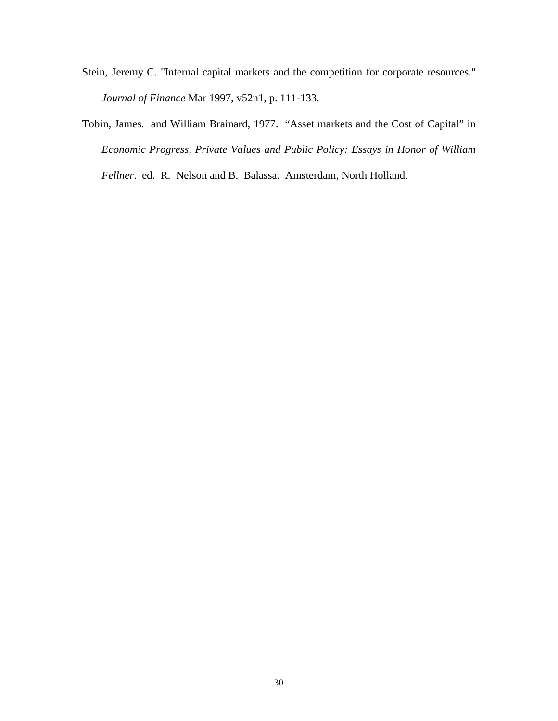- Stein, Jeremy C. "Internal capital markets and the competition for corporate resources." *Journal of Finance* Mar 1997, v52n1, p. 111-133.
- Tobin, James. and William Brainard, 1977. "Asset markets and the Cost of Capital" in *Economic Progress, Private Values and Public Policy: Essays in Honor of William Fellner*. ed. R. Nelson and B. Balassa. Amsterdam, North Holland.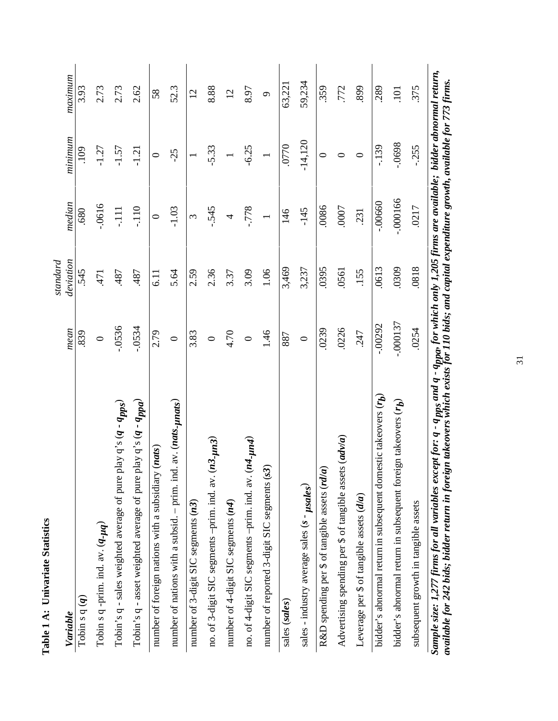|                                                                                                                                                                          |            | standard  |               |           |                |
|--------------------------------------------------------------------------------------------------------------------------------------------------------------------------|------------|-----------|---------------|-----------|----------------|
| Variable                                                                                                                                                                 | mean       | deviation | median        | minimum   | maximum        |
| Tobin sq( $q$ )                                                                                                                                                          | 839        | 545       | .680          | 109       | 3.93           |
| Tobin s q -prim. ind. $av. (q$ - $\mu q)$                                                                                                                                | $\circ$    | 471       | $-0616$       | $-1.27$   | 2.73           |
| Tobin's q - sales weighted average of pure play q's (q - q <sub>pps</sub> )                                                                                              | $-0536$    | .487      | $-111$        | $-1.57$   | 2.73           |
| Tobin's q - asset weighted average of pure play q's (q - qppa)                                                                                                           | $-0534$    | .487      | $-110$        | $-1.21$   | 2.62           |
| (nats)<br>number of foreign nations with a subsidiary                                                                                                                    | 2.79       | 6.11      | $\circ$       | $\circ$   | 58             |
| av. (nats- <sub>l</sub> unats)<br>number of nations with a subsid. – prim. ind.                                                                                          | $\circ$    | 5.64      | $-1.03$       | $-25$     | 52.3           |
| number of 3-digit SIC segments (n3)                                                                                                                                      | 3.83       | 2.59      | 3             |           | $\overline{c}$ |
| no. of 3-digit SIC segments -prim. ind. av. $(n3 - \mu n3)$                                                                                                              | $\circ$    | 2.36      | $-545$        | $-5.33$   | 8.88           |
| number of 4-digit SIC segments (n4)                                                                                                                                      | 4.70       | 3.37      | 4             |           | $\overline{c}$ |
| no. of 4-digit SIC segments -prim. ind. av. (n4-un4)                                                                                                                     | $\circ$    | 3.09      | $-778$        | $-6.25$   | 8.97           |
| number of reported 3-digit SIC segments (s3)                                                                                                                             | 1.46       | 1.06      |               |           | $\circ$        |
| sales (sales)                                                                                                                                                            | 887        | 3,469     | 146           | 0770      | 63,221         |
| sales - industry average sales (s - $\mu$ sales)                                                                                                                         | $\circ$    | 3,237     | $-145$        | $-14,120$ | 59,234         |
| R&D spending per \$ of tangible assets (rd/a)                                                                                                                            | .0239      | .0395     | 0086          | $\circ$   | 359            |
| Advertising spending per \$ of tangible assets (adv/a)                                                                                                                   | .0226      | .0561     | <b>COOO</b> . | $\circ$   | .772           |
| Leverage per \$ of tangible assets (d/a)                                                                                                                                 | 247        | .155      | .231          | $\circ$   | 899            |
| bidder's abnormal return in subsequent domestic takeovers (rh)                                                                                                           | $-00292$   | .0613     | $-0.0660$     | $-139$    | .289           |
| bidder's abnormal return in subsequent foreign takeovers $(r_b)$                                                                                                         | $-.000137$ | .0309     | $-.000166$    | $-0698$   | 101            |
| subsequent growth in tangible assets                                                                                                                                     | .0254      | .0818     | .0217         | $-0.255$  | 375            |
| Sample size: 1,277 firms for all variables except for: q - q <sub>mos</sub> and q - q <sub>mon</sub> , for which only 1,205 firms are available; bidder abnormal return, |            |           |               |           |                |

Sample size: 1,277 firms for all variables except for: q - q<sub>pps</sub> and q - q<sub>ppa</sub>, for which only 1,205 firms are available; bidder abnormal return,<br>available for 242 bids; bidder return in foreign takeovers which exists f Sample size: 1,277 firms for all variables except for: q - q <sub>pps</sub> and q - q<sub>ppa</sub>, for which only 1,205 firms are available; bidder abnormal return,<br>available for 242 bids; bidder return in foreign takeovers which exists

31

# Table 1 A: Univariate Statistics **Table 1 A: Univariate Statistics**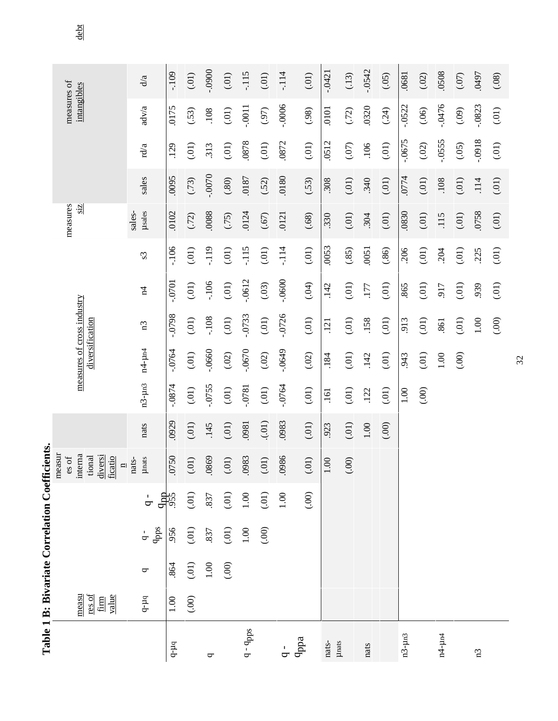|                                   |                                  |          | Table 1 B: Bivariate Correlation Coefficients |                  |                                         |          |             |                                               |          |               |                |                  |          |           |             |             |      |
|-----------------------------------|----------------------------------|----------|-----------------------------------------------|------------------|-----------------------------------------|----------|-------------|-----------------------------------------------|----------|---------------|----------------|------------------|----------|-----------|-------------|-------------|------|
|                                   |                                  |          |                                               |                  | measur<br>es of                         |          |             |                                               |          |               |                | measures         |          |           | measures of |             |      |
|                                   | measu<br>res of<br>value<br>firm |          |                                               |                  | interna<br>diversi<br>tional<br>ficatio |          |             | measures of cross industry<br>diversification |          |               |                | $\frac{1}{2}$    |          |           | intangibles |             | debt |
|                                   | $q$ - $\mu$ q                    | ᠳ        | qpps<br>$\frac{1}{\mathbf{Q}}$                | $\overline{q}$ . | <b>µnats</b><br>nats-<br>$\Box$         | ats<br>⊟ | $n3-\mu n3$ | $n4$ - $\mu$ n4                               | n3       | $\frac{4}{3}$ | S <sub>3</sub> | µsales<br>sales- | sales    | rd/a      | adv/a       | d/a         |      |
| $q-µq$                            | 1.00                             | 864      | 956                                           | dere<br>355      | 0750                                    | .0929    | $-0874$     | $-0764$                                       | 8640.    | .0701         | $-106$         | .0102            | .0095    | .129      | .0175       | $-109$      |      |
|                                   | (.00)                            | (.01)    | (.01)                                         | (01)             | (.01)                                   | (.01)    | (.01)       | (.01)                                         | (01)     | (.01)         | (01)           | (72)             | (73)     | (01)      | (.53)       | (.01)       |      |
| P                                 |                                  | $1.00\,$ | .837                                          | .837             | 0869                                    | 45<br>П. | $-0755$     | $-0660$                                       | $-108$   | $-106$        | $-119$         | 0088             | -.0070   | 313       | .108        | $-0900$     |      |
|                                   |                                  | (.00)    | (.01)                                         | (.01)            | (.01)                                   | $(.01)$  | (.01)       | $(.02)$                                       | $(01)$   | $(0.01)$      | (01)           | (75)             | (.80)    | (0.01)    | (.01)       | (.01)       |      |
| $^{\circ}$ qpps<br>$\overline{C}$ |                                  |          | $1.00\,$                                      | $1.00\,$         | 0983                                    | .0981    | $-0781$     | $-0670$                                       | $-0733$  | $-0612$       | $-115$         | 0124             | .0187    | .0878     | $-0011$     | $-115$      |      |
|                                   |                                  |          | (00)                                          | (01)             | (.01)                                   | (1)<br>÷ | (.01)       | (02)                                          | (0.01)   | (.03)         | (.01)          | (67)             | (.52)    | (0.01)    | (97)        | (.01)       |      |
| $\sigma$                          |                                  |          |                                               | $1.00\,$         | 0986                                    | .0983    | $-0764$     | $-0649$                                       | $-0726$  | $-0600 -$     | $-114$         | 0121             | 0180     | .0872     | $-0006$     | $-114$      |      |
| qppa                              |                                  |          |                                               | (00)             | $(0.01)$                                | (0.01)   | (01)        | (02)                                          | (0.01)   | (0.04)        | (0.01)         | (.68)            | (.53)    | (0.01)    | (98)        | (01)        |      |
| nats-                             |                                  |          |                                               |                  | $1.00\,$                                | .923     | .161        | .184                                          | .121     | .142          | .0053          | .330             | 308      | .0512     | .0101       | $-0421$     |      |
| <b>µnats</b>                      |                                  |          |                                               |                  | (.00)                                   | (0.01)   | (.01)       | $(0.01)$                                      | (01)     | (.01)         | (.85)          | (.01)            | $(0.01)$ | $(07)$    | (.72)       | (13)        |      |
| nats                              |                                  |          |                                               |                  |                                         | $1.00\,$ | .122        | .142                                          | .158     | .177          | .0051          | .304             | 340      | .106      | .0320       | $-0542$     |      |
|                                   |                                  |          |                                               |                  |                                         | (00)     | (0.01)      | (01)                                          | (01)     | (.01)         | (86)           | (.01)            | (.01)    | (0.01)    | (.24)       | (.05)       |      |
| $n3-\mu n3$                       |                                  |          |                                               |                  |                                         |          | 1.00        | .943                                          | 913      | .865          | .206           | .0830            | .0774    | $-0675$   | $-0522$     | .0681       |      |
|                                   |                                  |          |                                               |                  |                                         |          | (.00)       | (01)                                          | (01)     | (.01)         | $(01)$         | (.01)            | $(0.01)$ | (02)      | (06)        | (.02)       |      |
| $n4 - \mu n4$                     |                                  |          |                                               |                  |                                         |          |             | $1.00\,$                                      | .861     | 917           | .204           | 115              | .108     | $-0555$   | $-0476$     | .0508       |      |
|                                   |                                  |          |                                               |                  |                                         |          |             | (00)                                          | (01)     | (.01)         | (0.01)         | (.01)            | (.01)    | (05)      | $(09)$      | (0.07)      |      |
| $\mathbf{r}$                      |                                  |          |                                               |                  |                                         |          |             |                                               | $1.00\,$ | 939           | .225           | 0758             | .114     | $-0.0918$ | $-0823$     | <b>L6t0</b> |      |
|                                   |                                  |          |                                               |                  |                                         |          |             |                                               | (.00)    | (01)          | (01)           | (.01)            | (01)     | (0.01)    | (.01)       | (.08)       |      |

 $\frac{\text{debt}}{\text{debt}}$ 

32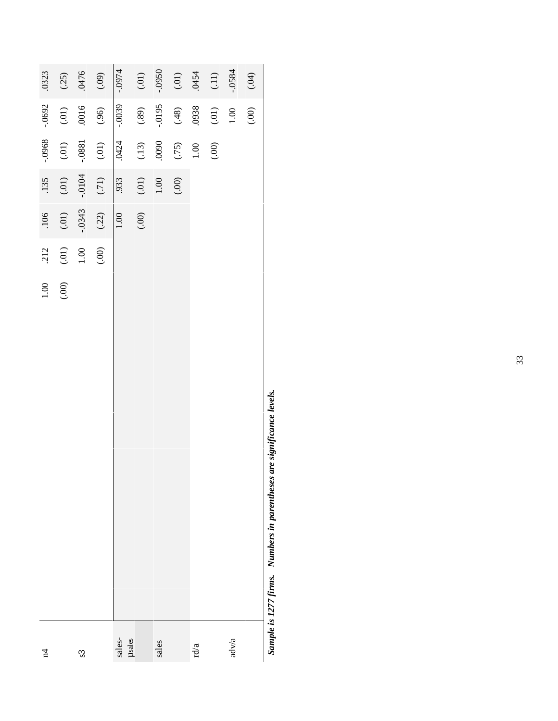| $\vec{r}$        | $1.00\,$    | 212            | .106     | .135             | -.0968          | $-0692$   | 0323             |
|------------------|-------------|----------------|----------|------------------|-----------------|-----------|------------------|
|                  | (00)        |                | $(0.01)$ | $(0.01)$         | $(0.01)$        | $(0.01)$  | (25)             |
| $\mathcal{S}$    |             | $(01)$<br>1.00 | $-.0343$ | $-.0104$         | $-0881$         | .0016     | 0476             |
|                  |             | (00)           | (.22)    | $(71)$           | $(0.01)$        | (.96)     | (60)             |
| sales-<br>µsales |             |                | $1.00\,$ | 933              | .0424           | $-0.0039$ | $-0.0974$        |
|                  |             |                | (.00)    |                  |                 | $(.89)$   | $(0.01)$         |
| sales            |             |                |          | $(0.01)$<br>1.00 | $(13)$<br>0090  | $-0195$   | $0560 -$         |
|                  |             |                |          | (00)             |                 | (48)      | $(0.01)$<br>0454 |
| rd/a             |             |                |          |                  | $(.75)$<br>1.00 | 0938      |                  |
|                  |             |                |          |                  | (00)            | $(.01)$   |                  |
| adv/a            |             |                |          |                  |                 | $1.00\,$  | $-0.584$         |
|                  |             |                |          |                  |                 | (00)      | (0.04)           |
| シー・・・・<br>¢      | <u>ໍ່</u> : |                |          |                  |                 |           |                  |

Sample is 1277 firms. Numbers in parentheses are significance levels. *Sample is 1277 firms. Numbers in parentheses are significance levels.*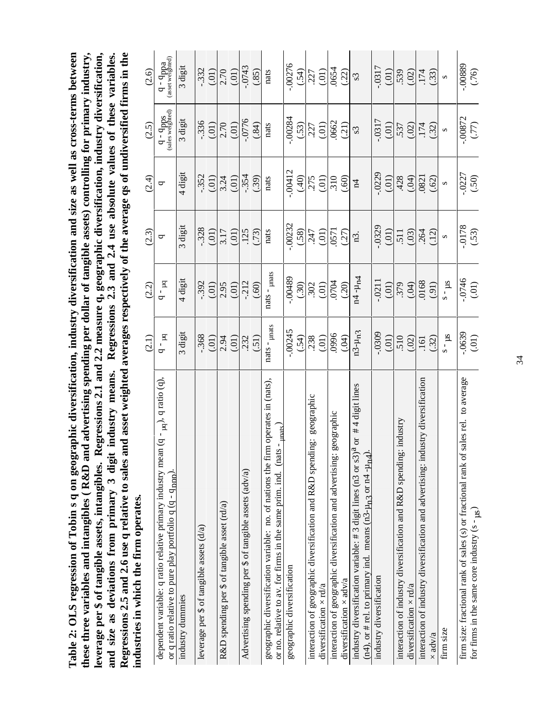these three variables and intangibles (R&D and advertising spending per dollar of tangible assets) controlling for primary industry, leverage per \$ of tangible assets, intangibles. Regressions 2.1 and 2.2 measure q, geographic diversification, industry diversification, and size as deviations from primary 3 digit industry means. Regressions 2.3 and 2.4 u Regressions 2.5 and 2.6 use q relative to sales and asset weighted averages respectively of the average qs of undiversified firms in the Table 2: OLS regression of Tobin s q on geographic diversification, industry diversification and size as well as cross-terms between **Table 2: OLS regression of Tobin s q on geographic diversification, industry diversification and size as well as cross-terms between Regressions 2.5 and 2.6 use q relative to sales and asset weighted averages respectively of the average qs of undiversified firms in the these three variables and intangibles ( R&D and advertising spending per dollar of tangible assets) controlling for primary industry, leverage per \$ of tangible assets, intangibles. Regressions 2.1 and 2.2 measure q, geographic diversification, industry diversification, and size as deviations from primary 3 digit industry means. Regressions 2.3 and 2.4 use absolute values of these variables.** industries in which the firm operates. **industries in which the firm operates.**

|                                                                                                                                                                                         | (2.1)             | (2.2)                | (2.3)            | (2.4)             | (2.5)                                    | (2.6)                        |
|-----------------------------------------------------------------------------------------------------------------------------------------------------------------------------------------|-------------------|----------------------|------------------|-------------------|------------------------------------------|------------------------------|
| an (q - <sub>µq</sub> ), q ratio (q),<br>dependent variable: q ratio relative primary industry me<br>or q ratio relative to pure play portfolio q (q - q <sub>nnn</sub> ).              | $q - pq$          | $q - pq$             | ᡋ                | ᠳ                 | $q - q_{\text{pps}}$<br>(sales weighted) | q - qppa<br>(asset weighted) |
| industry dummies                                                                                                                                                                        | 3 digit           | 4 digit              | digit            | 4 digit           | 3 digit                                  | 3 digit                      |
| leverage per \$ of tangible assets (d/a)                                                                                                                                                | .368              | $-0.392$             | $-328$           | $-352$            | $-336$                                   | $-332$                       |
|                                                                                                                                                                                         | (0.01)            | (0.01)               | (0.01)           | (0.01)            | (0.01)                                   | (0.01)                       |
| R&D spending per \$ of tangible asset (rd/a)                                                                                                                                            | 2.94              | 2.95                 | 3.17             | 3.24              | 2.70                                     | 2.70                         |
|                                                                                                                                                                                         | (0.01)            | (0.01)               | (0.01)           | (0.01)            | (.01)                                    | (0.01)                       |
| Advertising spending per \$ of tangible assets (adv/a)                                                                                                                                  | .232              | $-212$               | .125             | $-354$            |                                          | $-0743$                      |
|                                                                                                                                                                                         | (5)               | (.60)                | (73)             | (.39)             | (0.84)                                   | (.85)                        |
| im operates in (nats).<br>unats<br>or no. relative to av. for firms in the same prim. ind. (nats-<br>geographic diversification variable: no. of nations the f                          | $nats - µnats$    | nats - $_{\mu nats}$ | nats             | nats              | nats                                     | nats                         |
| geographic diversification                                                                                                                                                              | $-00245$          | 68100                | $-00232$         | $-00412$          | .00284                                   | .00276                       |
|                                                                                                                                                                                         | (.54)             | (.30)                | (58)             | (40)              | (.53)                                    | (.54)                        |
| geographic<br>idng:<br>interaction of geographic diversification and R&D spen                                                                                                           | .238              | 302                  | .247             | .275              | .227                                     | .227                         |
| diversification $\times$ rd/a                                                                                                                                                           | (.01)             | (.01)                | (.01)            | (.01)             | (.01)                                    | (.01)                        |
| interaction of geographic diversification and advertising: geographic                                                                                                                   | (100)             | <b>POLO</b>          | (37)             | .310              | 0662<br>(.21)                            | 0654                         |
| diversification $\times$ adv/a                                                                                                                                                          |                   | (20)                 |                  | (.60)             |                                          |                              |
| #4 digit lines<br>industry diversification variable: #3 digit lines (n3 or s3) <sup>a</sup> or<br>$(n4)$ , or # rel. to primary ind. means $(n3-\mu_{\text{n}})$ or $n4-\mu_{\text{n}}$ | $n3 - \mu_n$ 3    | $n4 - \mu_{\rm n4}$  | n3.              | $\overline{1}$    | $\mathcal{S}^{\mathcal{S}}$              | $\mathcal{S}^{\mathcal{S}}$  |
| industry diversification                                                                                                                                                                | .0309             | .0211                | .0329            | $-0229$           | .0317                                    | .0317                        |
|                                                                                                                                                                                         | (01)              | $\frac{(01)}{379}$   | (0.01)           | (0.01)            | (.01)                                    | (01)                         |
| g: industry<br>interaction of industry diversification and R&D spendin                                                                                                                  | 510               |                      | 511              | 428               | .537                                     | 539                          |
| diversification $\times$ rd/a                                                                                                                                                           | (02)              | (0.04)               | (.03)            | (0.04)            | (02)                                     | (0.02)                       |
| interaction of industry diversification and advertising: industry diversification                                                                                                       | .161              | 0168                 | 264              | .0821             | .174                                     | 174                          |
| $\times$ adv/a                                                                                                                                                                          | (.32)             | (91)                 | (12)             | (.62)             | (.32)                                    | (.33)                        |
| firm size                                                                                                                                                                               | $\mathsf{sn}$ – s | $\mathsf{snl}$ – s   | $\mathbf{z}$     | $\mathbf{\Omega}$ | $\mathbf{\Omega}$                        | $\infty$                     |
| firm size: fractional rank of sales (s) or fractional rank of sales rel. to average                                                                                                     |                   |                      |                  |                   |                                          | 00889                        |
| for firms in the same core industry $(s - g_s)$                                                                                                                                         | (0.01)            | $-0746$<br>(.01)     | $-0178$<br>(.53) | $-0227$<br>(.50)  | (0.0872)                                 | (76)                         |

ेटम्<br>ज for firms in the same core industry  $(s - \mu s)$  34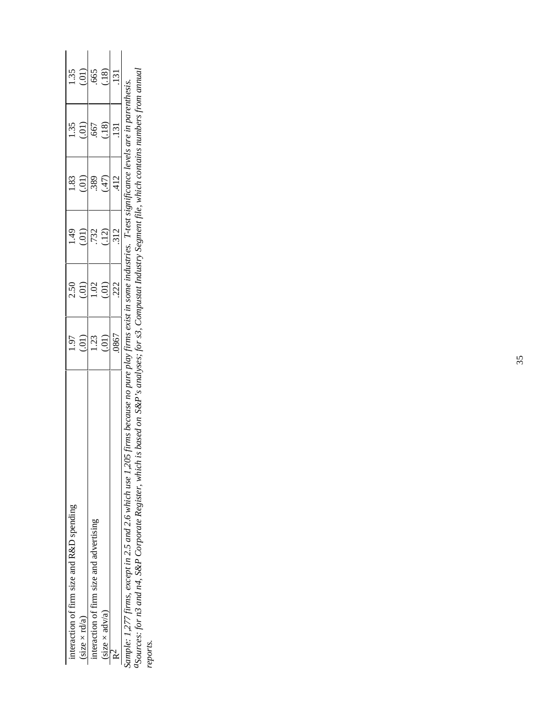| iteraction of firm size and R&D spending |                     |                     |        |                     |                  |                  |
|------------------------------------------|---------------------|---------------------|--------|---------------------|------------------|------------------|
| size $\times$ rd/a                       | $\frac{1.97}{0.01}$ | $^{2.50}_{(.01)}$   | (1.49) | $\frac{1.83}{0.01}$ | $\frac{135}{00}$ | $\frac{135}{00}$ |
| iteraction of firm size and advertising  |                     | $\frac{1.02}{0.01}$ | (12)   | (47)                |                  |                  |
| (size $\times$ adv/a)                    | $\frac{23}{20}$     |                     |        |                     | (18)             | (81)             |
|                                          | .0867               | .222                | 312    | .412                | .131             | $\frac{131}{2}$  |

*Sample: 1,277 firms, except in 2.5 and 2.6 which use 1,205 firms because no pure play firms exist in some industries. T-test significance levels are in parenthesis. aSources: for n3 and n4, S&P Corporate Register, which is based on S&P's analyses; for s3, Compustat Industry Segment file, which contains numbers from annual* Sample: 1,277 firms, except in 2.5 and 2.6 which use 1,205 firms because no pure play firms exist in some industries. T-test significance levels are in parenthesis.<br><sup>a</sup>Sources: for n3 and n4, S&P Corporate Register, which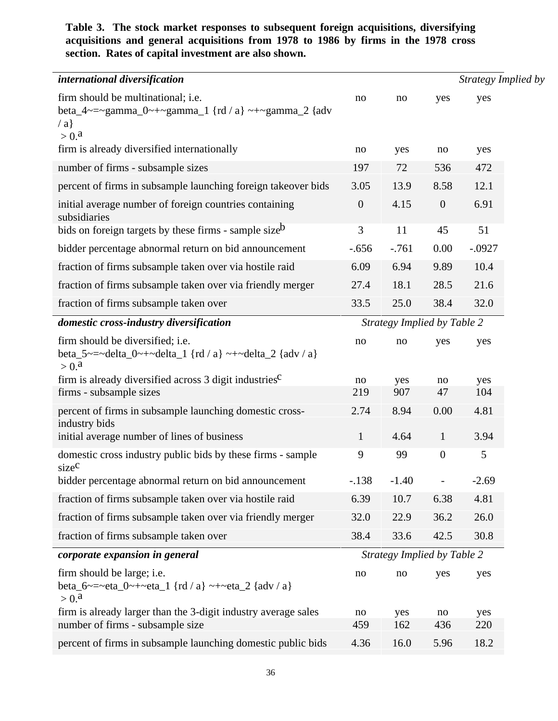## **Table 3. The stock market responses to subsequent foreign acquisitions, diversifying acquisitions and general acquisitions from 1978 to 1986 by firms in the 1978 cross section. Rates of capital investment are also shown.**

| international diversification                                                                                             |                |                             |                  | Strategy Implied by |
|---------------------------------------------------------------------------------------------------------------------------|----------------|-----------------------------|------------------|---------------------|
| firm should be multinational; i.e.<br>beta_4~=~gamma_0~+~gamma_1 {rd / a} ~+~gamma_2 {adv<br>$\langle a \rangle$<br>> 0.8 | no             | no                          | yes              | yes                 |
| firm is already diversified internationally                                                                               | no             | yes                         | no               | yes                 |
| number of firms - subsample sizes                                                                                         | 197            | 72                          | 536              | 472                 |
| percent of firms in subsample launching foreign takeover bids                                                             | 3.05           | 13.9                        | 8.58             | 12.1                |
| initial average number of foreign countries containing<br>subsidiaries                                                    | $\overline{0}$ | 4.15                        | $\boldsymbol{0}$ | 6.91                |
| bids on foreign targets by these firms - sample size <sup>b</sup>                                                         | 3              | 11                          | 45               | 51                  |
| bidder percentage abnormal return on bid announcement                                                                     | $-.656$        | $-761$                      | 0.00             | $-.0927$            |
| fraction of firms subsample taken over via hostile raid                                                                   | 6.09           | 6.94                        | 9.89             | 10.4                |
| fraction of firms subsample taken over via friendly merger                                                                | 27.4           | 18.1                        | 28.5             | 21.6                |
| fraction of firms subsample taken over                                                                                    | 33.5           | 25.0                        | 38.4             | 32.0                |
| domestic cross-industry diversification                                                                                   |                | Strategy Implied by Table 2 |                  |                     |
| firm should be diversified; i.e.<br>beta_5~=~delta_0~+~delta_1 {rd / a} ~+~delta_2 {adv / a}<br>> 0.8                     | no             | no                          | yes              | yes                 |
| firm is already diversified across $3$ digit industries <sup><math>C</math></sup>                                         | no             | yes                         | no               | yes                 |
| firms - subsample sizes                                                                                                   | 219            | 907                         | 47               | 104                 |
| percent of firms in subsample launching domestic cross-<br>industry bids                                                  | 2.74           | 8.94                        | 0.00             | 4.81                |
| initial average number of lines of business                                                                               | $\mathbf{1}$   | 4.64                        | $\mathbf{1}$     | 3.94                |
| domestic cross industry public bids by these firms - sample<br>size <sup>c</sup>                                          | 9              | 99                          | $\overline{0}$   | 5                   |
| bidder percentage abnormal return on bid announcement                                                                     | $-.138$        | $-1.40$                     | $\frac{1}{2}$    | $-2.69$             |
| fraction of firms subsample taken over via hostile raid                                                                   | 6.39           | 10.7                        | 6.38             | 4.81                |
| fraction of firms subsample taken over via friendly merger                                                                | 32.0           | 22.9                        | 36.2             | 26.0                |
| fraction of firms subsample taken over                                                                                    | 38.4           | 33.6                        | 42.5             | 30.8                |
| corporate expansion in general                                                                                            |                | Strategy Implied by Table 2 |                  |                     |
| firm should be large; <i>i.e.</i><br>beta_6 ~ = ~ eta_0 ~ + ~ eta_1 {rd / a} ~ + ~ eta_2 {adv / a}<br>> 0.8               | no             | no                          | yes              | yes                 |
| firm is already larger than the 3-digit industry average sales                                                            | no             | yes                         | no               | yes                 |
| number of firms - subsample size                                                                                          | 459            | 162                         | 436              | 220                 |
| percent of firms in subsample launching domestic public bids                                                              | 4.36           | 16.0                        | 5.96             | 18.2                |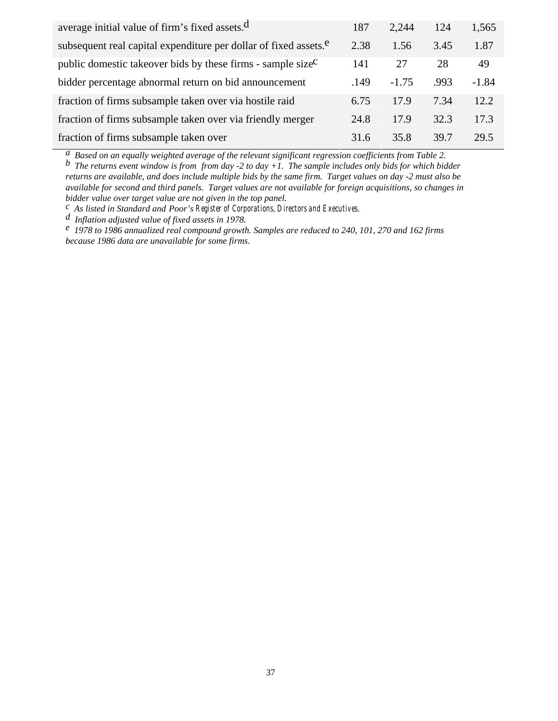| average initial value of firm's fixed assets. <sup>d</sup>                   | 187  | 2.244   | 124  | 1,565   |
|------------------------------------------------------------------------------|------|---------|------|---------|
| subsequent real capital expenditure per dollar of fixed assets. <sup>e</sup> | 2.38 | 1.56    | 3.45 | 1.87    |
| public domestic takeover bids by these firms - sample size <sup>C</sup>      | 141  | 27      | 28   | 49      |
| bidder percentage abnormal return on bid announcement                        | .149 | $-1.75$ | .993 | $-1.84$ |
| fraction of firms subsample taken over via hostile raid                      | 6.75 | 17.9    | 7.34 | 12.2    |
| fraction of firms subsample taken over via friendly merger                   | 24.8 | 17.9    | 32.3 | 17.3    |
| fraction of firms subsample taken over                                       | 31.6 | 35.8    | 39.7 | 29.5    |

*a Based on an equally weighted average of the relevant significant regression coefficients from Table 2.*

*b The returns event window is from from day -2 to day +1. The sample includes only bids for which bidder returns are available, and does include multiple bids by the same firm. Target values on day -2 must also be available for second and third panels. Target values are not available for foreign acquisitions, so changes in bidder value over target value are not given in the top panel.*<br><sup>*c*</sup> As listed in Standard and Poor's Register of Corporations, Directors and Executives.

d Inflation adjusted value of fixed assets in 1978.<br>
<sup>e</sup> 1978 to 1986 annualized real compound growth. Samples are reduced to 240, 101, 270 and 162 firms *because 1986 data are unavailable for some firms.*